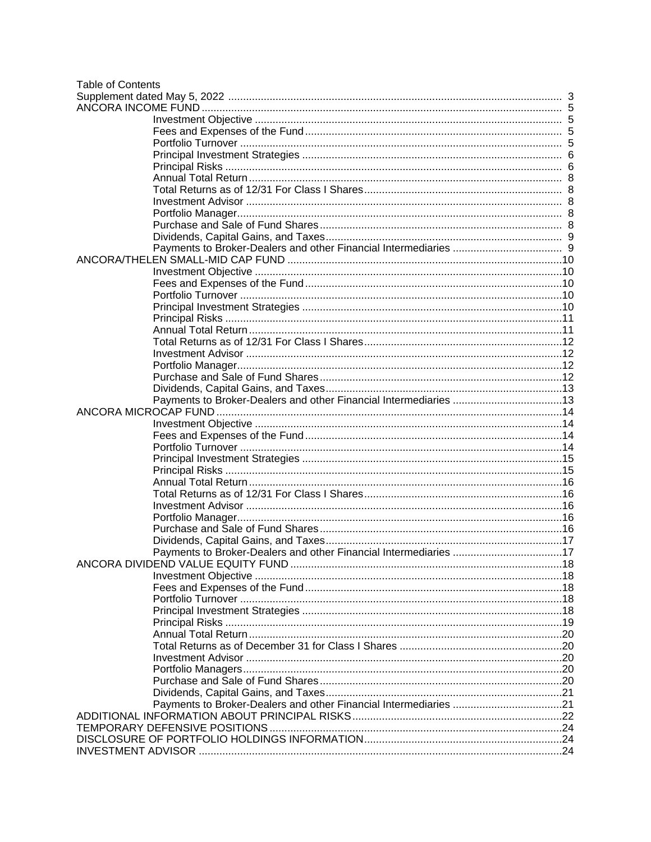| <b>Table of Contents</b> |  |
|--------------------------|--|
|                          |  |
|                          |  |
|                          |  |
|                          |  |
|                          |  |
|                          |  |
|                          |  |
|                          |  |
|                          |  |
|                          |  |
|                          |  |
|                          |  |
|                          |  |
|                          |  |
|                          |  |
|                          |  |
|                          |  |
|                          |  |
|                          |  |
|                          |  |
|                          |  |
|                          |  |
|                          |  |
|                          |  |
|                          |  |
|                          |  |
|                          |  |
|                          |  |
|                          |  |
|                          |  |
|                          |  |
|                          |  |
|                          |  |
|                          |  |
|                          |  |
|                          |  |
|                          |  |
|                          |  |
|                          |  |
|                          |  |
|                          |  |
|                          |  |
|                          |  |
|                          |  |
|                          |  |
|                          |  |
|                          |  |
|                          |  |
|                          |  |
|                          |  |
|                          |  |
|                          |  |
|                          |  |
|                          |  |
|                          |  |
|                          |  |
|                          |  |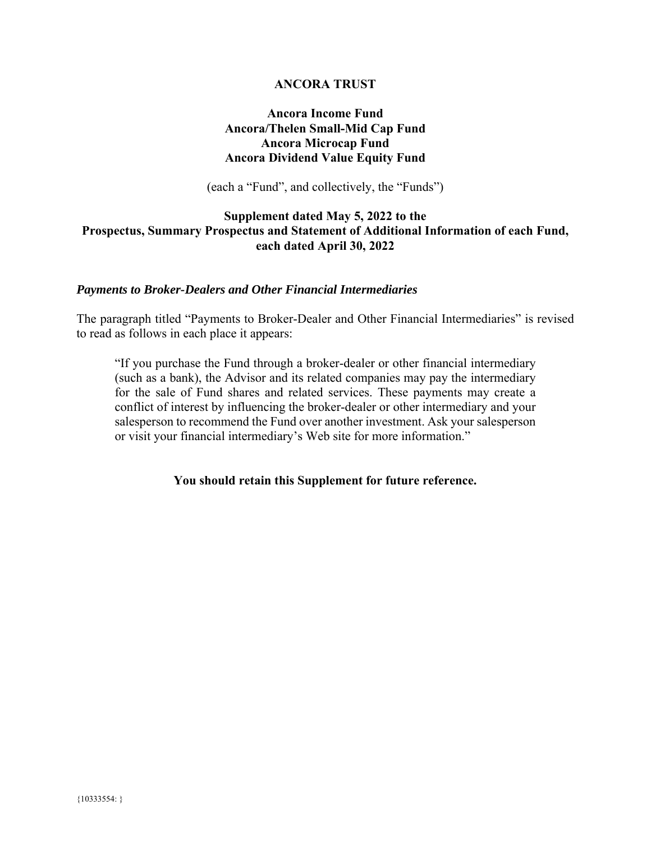### **ANCORA TRUST**

## **Ancora Income Fund Ancora/Thelen Small-Mid Cap Fund Ancora Microcap Fund Ancora Dividend Value Equity Fund**

(each a "Fund", and collectively, the "Funds")

### <span id="page-2-0"></span>**Supplement dated May 5, 2022 to the Prospectus, Summary Prospectus and Statement of Additional Information of each Fund, each dated April 30, 2022**

### *Payments to Broker-Dealers and Other Financial Intermediaries*

The paragraph titled "Payments to Broker-Dealer and Other Financial Intermediaries" is revised to read as follows in each place it appears:

"If you purchase the Fund through a broker-dealer or other financial intermediary (such as a bank), the Advisor and its related companies may pay the intermediary for the sale of Fund shares and related services. These payments may create a conflict of interest by influencing the broker-dealer or other intermediary and your salesperson to recommend the Fund over another investment. Ask your salesperson or visit your financial intermediary's Web site for more information."

**You should retain this Supplement for future reference.**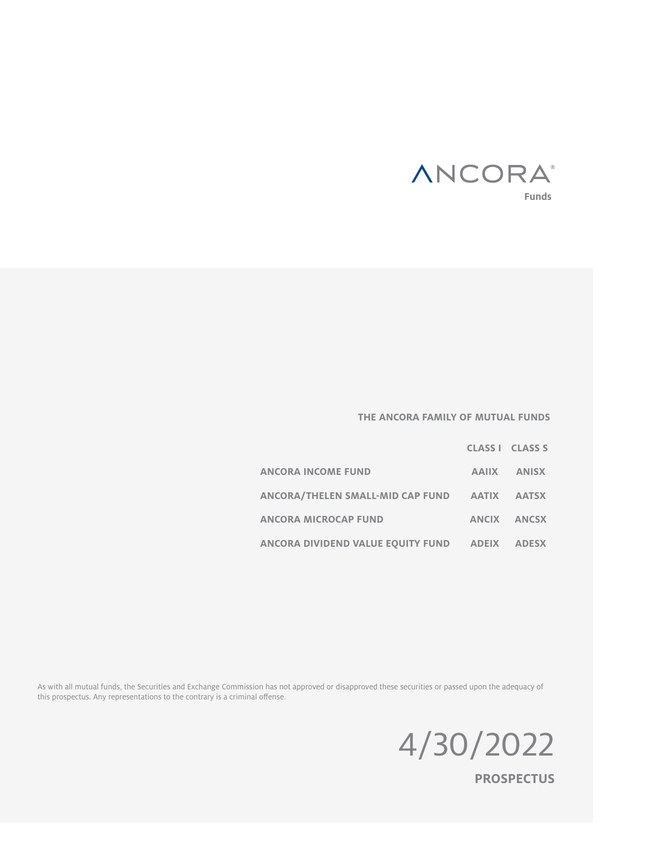

### **THE ANCORA FAMILY OF MUTUAL FUNDS**

|                                               | CLASS I CLASS S |
|-----------------------------------------------|-----------------|
| <b>ANCORA INCOME FUND</b>                     | AAIIX ANISX     |
| ANCORA/THELEN SMALL-MID CAP FUND AATIX AATSX  |                 |
| <b>ANCORA MICROCAP FUND</b>                   | ANCIX ANCSX     |
| ANCORA DIVIDEND VALUE EQUITY FUND ADEIX ADESX |                 |

As with all mutual funds, the Securities and Exchange Commission has not approved or disapproved these securities or passed upon the adequacy of this prospectus. Any representations to the contrary is a criminal offense.



**PROSPECTUS**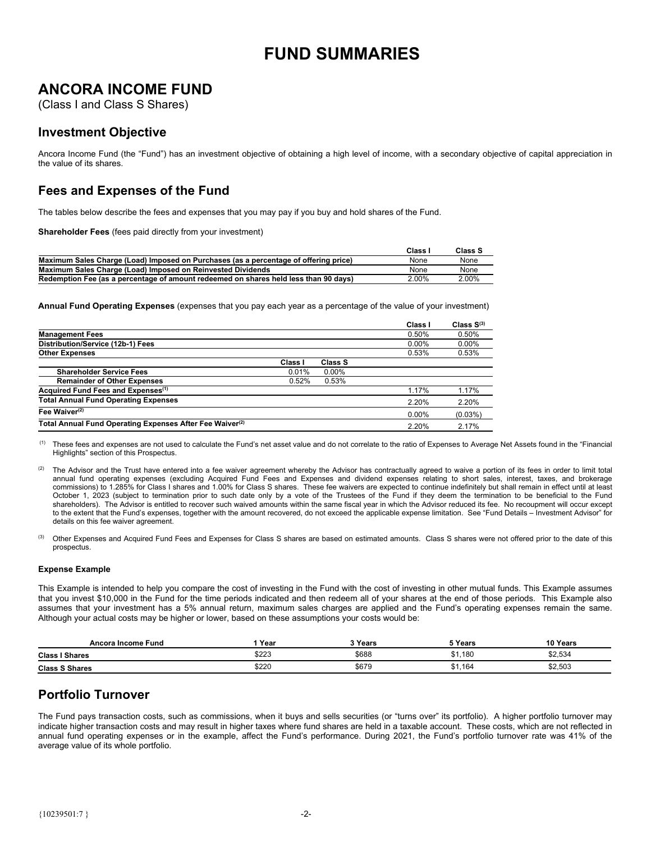# **FUND SUMMARIES**

# <span id="page-4-0"></span>**ANCORA INCOME FUND**

(Class I and Class S Shares)

### **Investment Objective**

Ancora Income Fund (the "Fund") has an investment objective of obtaining a high level of income, with a secondary objective of capital appreciation in the value of its shares.

# **Fees and Expenses of the Fund**

The tables below describe the fees and expenses that you may pay if you buy and hold shares of the Fund.

**Shareholder Fees** (fees paid directly from your investment)

|                                                                                      | Class    | Class S  |
|--------------------------------------------------------------------------------------|----------|----------|
| Maximum Sales Charge (Load) Imposed on Purchases (as a percentage of offering price) | None     | None     |
| Maximum Sales Charge (Load) Imposed on Reinvested Dividends                          | None     | None     |
| Redemption Fee (as a percentage of amount redeemed on shares held less than 90 days) | $2.00\%$ | $2.00\%$ |

**Annual Fund Operating Expenses** (expenses that you pay each year as a percentage of the value of your investment)

|                                                                      |         |          | Class I  | Class $S^{(3)}$ |
|----------------------------------------------------------------------|---------|----------|----------|-----------------|
| <b>Management Fees</b>                                               |         |          | 0.50%    | 0.50%           |
| Distribution/Service (12b-1) Fees                                    |         |          | $0.00\%$ | $0.00\%$        |
| <b>Other Expenses</b>                                                |         |          | 0.53%    | 0.53%           |
|                                                                      | Class I | Class S  |          |                 |
| <b>Shareholder Service Fees</b>                                      | 0.01%   | $0.00\%$ |          |                 |
| <b>Remainder of Other Expenses</b>                                   | 0.52%   | 0.53%    |          |                 |
| Acquired Fund Fees and Expenses <sup>(1)</sup>                       |         |          | 1.17%    | 1.17%           |
| <b>Total Annual Fund Operating Expenses</b>                          |         |          | 2.20%    | 2.20%           |
| Fee Waiver $(2)$                                                     |         |          | $0.00\%$ | $(0.03\%)$      |
| Total Annual Fund Operating Expenses After Fee Waiver <sup>(2)</sup> |         |          | 2.20%    | 2.17%           |

 (1) These fees and expenses are not used to calculate the Fund's net asset value and do not correlate to the ratio of Expenses to Average Net Assets found in the "Financial Highlights" section of this Prospectus.

### **Expense Example**

This Example is intended to help you compare the cost of investing in the Fund with the cost of investing in other mutual funds. This Example assumes that you invest \$10,000 in the Fund for the time periods indicated and then redeem all of your shares at the end of those periods. This Example also assumes that your investment has a 5% annual return, maximum sales charges are applied and the Fund's operating expenses remain the same. Although your actual costs may be higher or lower, based on these assumptions your costs would be:

| Ancora Income Fund    | Year  | ? Years | <b>TYears</b>        | 10 Years |
|-----------------------|-------|---------|----------------------|----------|
| <b>Class I Shares</b> | \$223 | \$688   | \$1,180<br>$^{\sim}$ | \$2,534  |
| <b>Class S Shares</b> | \$220 | \$679   | \$1,164              | \$2,503  |

# **Portfolio Turnover**

The Fund pays transaction costs, such as commissions, when it buys and sells securities (or "turns over" its portfolio). A higher portfolio turnover may indicate higher transaction costs and may result in higher taxes where fund shares are held in a taxable account. These costs, which are not reflected in annual fund operating expenses or in the example, affect the Fund's performance. During 2021, the Fund's portfolio turnover rate was 41% of the average value of its whole portfolio.

The Advisor and the Trust have entered into a fee waiver agreement whereby the Advisor has contractually agreed to waive a portion of its fees in order to limit total annual fund operating expenses (excluding Acquired Fund Fees and Expenses and dividend expenses relating to short sales, interest, taxes, and brokerage commissions) to 1.285% for Class I shares and 1.00% for Class S shares. These fee waivers are expected to continue indefinitely but shall remain in effect until at least October 1, 2023 (subject to termination prior to such date only by a vote of the Trustees of the Fund if they deem the termination to be beneficial to the Fund shareholders). The Advisor is entitled to recover such waived amounts within the same fiscal year in which the Advisor reduced its fee. No recoupment will occur except to the extent that the Fund's expenses, together with the amount recovered, do not exceed the applicable expense limitation. See "Fund Details – Investment Advisor" for details on this fee waiver agreement.

<sup>(3)</sup> Other Expenses and Acquired Fund Fees and Expenses for Class S shares are based on estimated amounts. Class S shares were not offered prior to the date of this prospectus.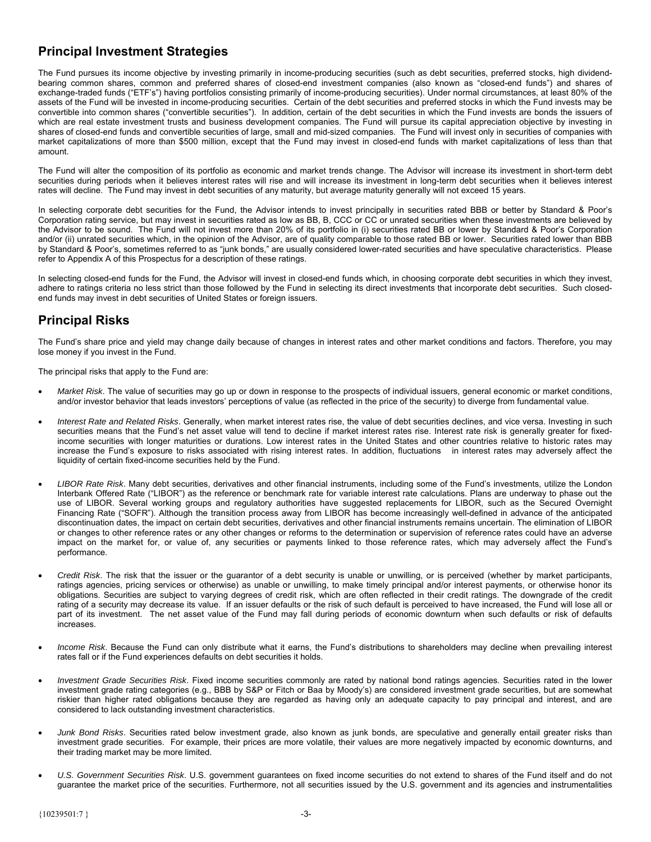# <span id="page-5-0"></span>**Principal Investment Strategies**

The Fund pursues its income objective by investing primarily in income-producing securities (such as debt securities, preferred stocks, high dividendbearing common shares, common and preferred shares of closed-end investment companies (also known as "closed-end funds") and shares of exchange-traded funds ("ETF's") having portfolios consisting primarily of income-producing securities). Under normal circumstances, at least 80% of the assets of the Fund will be invested in income-producing securities. Certain of the debt securities and preferred stocks in which the Fund invests may be convertible into common shares ("convertible securities"). In addition, certain of the debt securities in which the Fund invests are bonds the issuers of which are real estate investment trusts and business development companies. The Fund will pursue its capital appreciation objective by investing in shares of closed-end funds and convertible securities of large, small and mid-sized companies. The Fund will invest only in securities of companies with market capitalizations of more than \$500 million, except that the Fund may invest in closed-end funds with market capitalizations of less than that amount.

The Fund will alter the composition of its portfolio as economic and market trends change. The Advisor will increase its investment in short-term debt securities during periods when it believes interest rates will rise and will increase its investment in long-term debt securities when it believes interest rates will decline. The Fund may invest in debt securities of any maturity, but average maturity generally will not exceed 15 years.

In selecting corporate debt securities for the Fund, the Advisor intends to invest principally in securities rated BBB or better by Standard & Poor's Corporation rating service, but may invest in securities rated as low as BB, B, CCC or CC or unrated securities when these investments are believed by the Advisor to be sound. The Fund will not invest more than 20% of its portfolio in (i) securities rated BB or lower by Standard & Poor's Corporation and/or (ii) unrated securities which, in the opinion of the Advisor, are of quality comparable to those rated BB or lower. Securities rated lower than BBB by Standard & Poor's, sometimes referred to as "junk bonds," are usually considered lower-rated securities and have speculative characteristics. Please refer to Appendix A of this Prospectus for a description of these ratings.

In selecting closed-end funds for the Fund, the Advisor will invest in closed-end funds which, in choosing corporate debt securities in which they invest, adhere to ratings criteria no less strict than those followed by the Fund in selecting its direct investments that incorporate debt securities. Such closedend funds may invest in debt securities of United States or foreign issuers.

# **Principal Risks**

The Fund's share price and yield may change daily because of changes in interest rates and other market conditions and factors. Therefore, you may lose money if you invest in the Fund.

The principal risks that apply to the Fund are:

- *Market Risk*. The value of securities may go up or down in response to the prospects of individual issuers, general economic or market conditions, and/or investor behavior that leads investors' perceptions of value (as reflected in the price of the security) to diverge from fundamental value.
- *Interest Rate and Related Risks*. Generally, when market interest rates rise, the value of debt securities declines, and vice versa. Investing in such securities means that the Fund's net asset value will tend to decline if market interest rates rise. Interest rate risk is generally greater for fixedincome securities with longer maturities or durations. Low interest rates in the United States and other countries relative to historic rates may increase the Fund's exposure to risks associated with rising interest rates. In addition, fluctuations in interest rates may adversely affect the liquidity of certain fixed-income securities held by the Fund.
- *LIBOR Rate Risk*. Many debt securities, derivatives and other financial instruments, including some of the Fund's investments, utilize the London Interbank Offered Rate ("LIBOR") as the reference or benchmark rate for variable interest rate calculations. Plans are underway to phase out the use of LIBOR. Several working groups and regulatory authorities have suggested replacements for LIBOR, such as the Secured Overnight Financing Rate ("SOFR"). Although the transition process away from LIBOR has become increasingly well-defined in advance of the anticipated discontinuation dates, the impact on certain debt securities, derivatives and other financial instruments remains uncertain. The elimination of LIBOR or changes to other reference rates or any other changes or reforms to the determination or supervision of reference rates could have an adverse impact on the market for, or value of, any securities or payments linked to those reference rates, which may adversely affect the Fund's performance.
- *Credit Risk*. The risk that the issuer or the guarantor of a debt security is unable or unwilling, or is perceived (whether by market participants, ratings agencies, pricing services or otherwise) as unable or unwilling, to make timely principal and/or interest payments, or otherwise honor its obligations. Securities are subject to varying degrees of credit risk, which are often reflected in their credit ratings. The downgrade of the credit rating of a security may decrease its value. If an issuer defaults or the risk of such default is perceived to have increased, the Fund will lose all or part of its investment. The net asset value of the Fund may fall during periods of economic downturn when such defaults or risk of defaults increases.
- *Income Risk*. Because the Fund can only distribute what it earns, the Fund's distributions to shareholders may decline when prevailing interest rates fall or if the Fund experiences defaults on debt securities it holds.
- *Investment Grade Securities Risk*. Fixed income securities commonly are rated by national bond ratings agencies. Securities rated in the lower investment grade rating categories (e.g., BBB by S&P or Fitch or Baa by Moody's) are considered investment grade securities, but are somewhat riskier than higher rated obligations because they are regarded as having only an adequate capacity to pay principal and interest, and are considered to lack outstanding investment characteristics.
- *Junk Bond Risks*. Securities rated below investment grade, also known as junk bonds, are speculative and generally entail greater risks than investment grade securities. For example, their prices are more volatile, their values are more negatively impacted by economic downturns, and their trading market may be more limited.
- *U.S. Government Securities Risk*. U.S. government guarantees on fixed income securities do not extend to shares of the Fund itself and do not guarantee the market price of the securities. Furthermore, not all securities issued by the U.S. government and its agencies and instrumentalities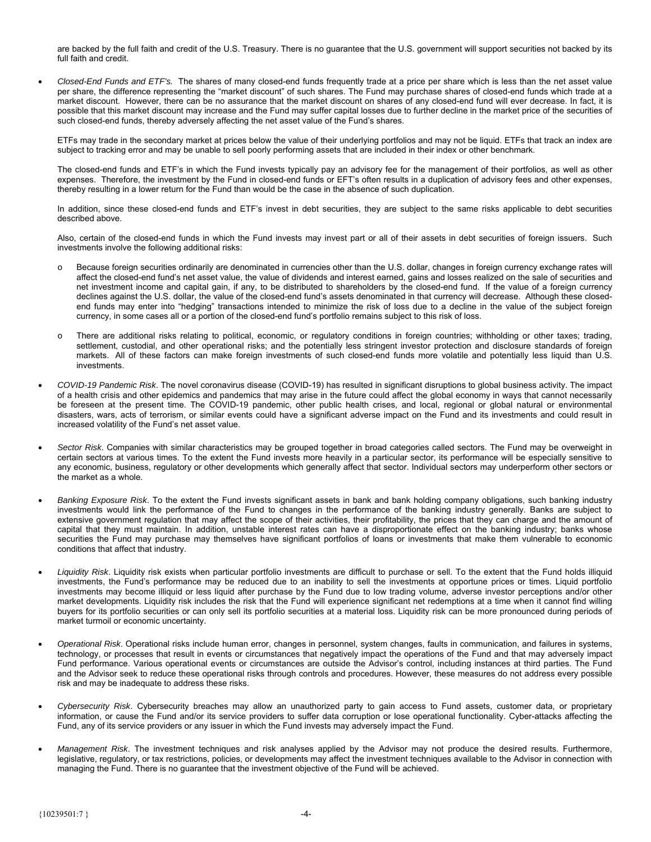are backed by the full faith and credit of the U.S. Treasury. There is no guarantee that the U.S. government will support securities not backed by its full faith and credit.

 *Closed-End Funds and ETF's.* The shares of many closed-end funds frequently trade at a price per share which is less than the net asset value per share, the difference representing the "market discount" of such shares. The Fund may purchase shares of closed-end funds which trade at a market discount. However, there can be no assurance that the market discount on shares of any closed-end fund will ever decrease. In fact, it is possible that this market discount may increase and the Fund may suffer capital losses due to further decline in the market price of the securities of such closed-end funds, thereby adversely affecting the net asset value of the Fund's shares.

ETFs may trade in the secondary market at prices below the value of their underlying portfolios and may not be liquid. ETFs that track an index are subject to tracking error and may be unable to sell poorly performing assets that are included in their index or other benchmark.

The closed-end funds and ETF's in which the Fund invests typically pay an advisory fee for the management of their portfolios, as well as other expenses. Therefore, the investment by the Fund in closed-end funds or EFT's often results in a duplication of advisory fees and other expenses, thereby resulting in a lower return for the Fund than would be the case in the absence of such duplication.

In addition, since these closed-end funds and ETF's invest in debt securities, they are subject to the same risks applicable to debt securities described above.

Also, certain of the closed-end funds in which the Fund invests may invest part or all of their assets in debt securities of foreign issuers. Such investments involve the following additional risks:

- Because foreign securities ordinarily are denominated in currencies other than the U.S. dollar, changes in foreign currency exchange rates will affect the closed-end fund's net asset value, the value of dividends and interest earned, gains and losses realized on the sale of securities and net investment income and capital gain, if any, to be distributed to shareholders by the closed-end fund. If the value of a foreign currency declines against the U.S. dollar, the value of the closed-end fund's assets denominated in that currency will decrease. Although these closedend funds may enter into "hedging" transactions intended to minimize the risk of loss due to a decline in the value of the subject foreign currency, in some cases all or a portion of the closed-end fund's portfolio remains subject to this risk of loss.
- There are additional risks relating to political, economic, or regulatory conditions in foreign countries; withholding or other taxes; trading, settlement, custodial, and other operational risks; and the potentially less stringent investor protection and disclosure standards of foreign markets. All of these factors can make foreign investments of such closed-end funds more volatile and potentially less liquid than U.S. investments.
- *COVID-19 Pandemic Risk*. The novel coronavirus disease (COVID-19) has resulted in significant disruptions to global business activity. The impact of a health crisis and other epidemics and pandemics that may arise in the future could affect the global economy in ways that cannot necessarily be foreseen at the present time. The COVID-19 pandemic, other public health crises, and local, regional or global natural or environmental disasters, wars, acts of terrorism, or similar events could have a significant adverse impact on the Fund and its investments and could result in increased volatility of the Fund's net asset value.
- *Sector Risk*. Companies with similar characteristics may be grouped together in broad categories called sectors. The Fund may be overweight in certain sectors at various times. To the extent the Fund invests more heavily in a particular sector, its performance will be especially sensitive to any economic, business, regulatory or other developments which generally affect that sector. Individual sectors may underperform other sectors or the market as a whole.
- *Banking Exposure Risk*. To the extent the Fund invests significant assets in bank and bank holding company obligations, such banking industry investments would link the performance of the Fund to changes in the performance of the banking industry generally. Banks are subject to extensive government regulation that may affect the scope of their activities, their profitability, the prices that they can charge and the amount of capital that they must maintain. In addition, unstable interest rates can have a disproportionate effect on the banking industry; banks whose securities the Fund may purchase may themselves have significant portfolios of loans or investments that make them vulnerable to economic conditions that affect that industry.
- *Liquidity Risk*. Liquidity risk exists when particular portfolio investments are difficult to purchase or sell. To the extent that the Fund holds illiquid investments, the Fund's performance may be reduced due to an inability to sell the investments at opportune prices or times. Liquid portfolio investments may become illiquid or less liquid after purchase by the Fund due to low trading volume, adverse investor perceptions and/or other market developments. Liquidity risk includes the risk that the Fund will experience significant net redemptions at a time when it cannot find willing buyers for its portfolio securities or can only sell its portfolio securities at a material loss. Liquidity risk can be more pronounced during periods of market turmoil or economic uncertainty.
- *Operational Risk*. Operational risks include human error, changes in personnel, system changes, faults in communication, and failures in systems, technology, or processes that result in events or circumstances that negatively impact the operations of the Fund and that may adversely impact Fund performance. Various operational events or circumstances are outside the Advisor's control, including instances at third parties. The Fund and the Advisor seek to reduce these operational risks through controls and procedures. However, these measures do not address every possible risk and may be inadequate to address these risks.
- *Cybersecurity Risk*. Cybersecurity breaches may allow an unauthorized party to gain access to Fund assets, customer data, or proprietary information, or cause the Fund and/or its service providers to suffer data corruption or lose operational functionality. Cyber-attacks affecting the Fund, any of its service providers or any issuer in which the Fund invests may adversely impact the Fund.
- *Management Risk*. The investment techniques and risk analyses applied by the Advisor may not produce the desired results. Furthermore, legislative, regulatory, or tax restrictions, policies, or developments may affect the investment techniques available to the Advisor in connection with managing the Fund. There is no guarantee that the investment objective of the Fund will be achieved.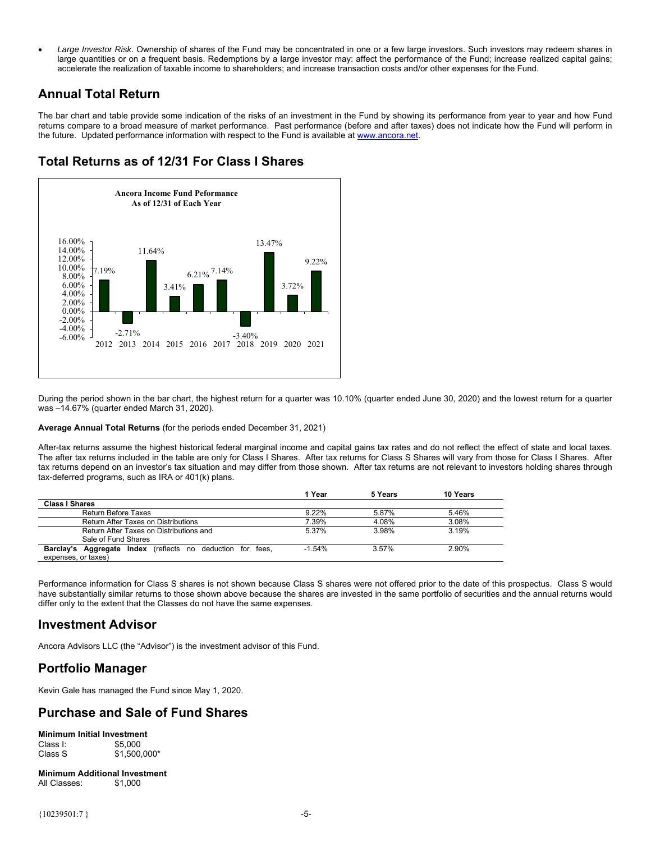<span id="page-7-0"></span> *Large Investor Risk*. Ownership of shares of the Fund may be concentrated in one or a few large investors. Such investors may redeem shares in large quantities or on a frequent basis. Redemptions by a large investor may: affect the performance of the Fund; increase realized capital gains; accelerate the realization of taxable income to shareholders; and increase transaction costs and/or other expenses for the Fund.

### **Annual Total Return**

The bar chart and table provide some indication of the risks of an investment in the Fund by showing its performance from year to year and how Fund returns compare to a broad measure of market performance. Past performance (before and after taxes) does not indicate how the Fund will perform in the future. Updated performance information with respect to the Fund is available at www.ancora.net.

# **Total Returns as of 12/31 For Class I Shares**



During the period shown in the bar chart, the highest return for a quarter was 10.10% (quarter ended June 30, 2020) and the lowest return for a quarter was –14.67% (quarter ended March 31, 2020).

### **Average Annual Total Returns** (for the periods ended December 31, 2021)

After-tax returns assume the highest historical federal marginal income and capital gains tax rates and do not reflect the effect of state and local taxes. The after tax returns included in the table are only for Class I Shares. After tax returns for Class S Shares will vary from those for Class I Shares. After tax returns depend on an investor's tax situation and may differ from those shown. After tax returns are not relevant to investors holding shares through tax-deferred programs, such as IRA or 401(k) plans.

|                                                                   | 1 Year   | 5 Years | 10 Years |
|-------------------------------------------------------------------|----------|---------|----------|
| <b>Class I Shares</b>                                             |          |         |          |
| <b>Return Before Taxes</b>                                        | 9.22%    | 5.87%   | 5.46%    |
| Return After Taxes on Distributions                               | 7.39%    | 4.08%   | 3.08%    |
| Return After Taxes on Distributions and                           | 5 37%    | 3.98%   | 3.19%    |
| Sale of Fund Shares                                               |          |         |          |
| <b>Barclay's Aggregate Index</b> (reflects no deduction for fees, | $-1.54%$ | 3.57%   | 2.90%    |
| expenses, or taxes)                                               |          |         |          |

Performance information for Class S shares is not shown because Class S shares were not offered prior to the date of this prospectus. Class S would have substantially similar returns to those shown above because the shares are invested in the same portfolio of securities and the annual returns would differ only to the extent that the Classes do not have the same expenses.

### **Investment Advisor**

Ancora Advisors LLC (the "Advisor") is the investment advisor of this Fund.

# **Portfolio Manager**

Kevin Gale has managed the Fund since May 1, 2020.

# **Purchase and Sale of Fund Shares**

**Minimum Initial Investment**  Class I: \$5,000<br>Class S \$1,500  $$1,500,000*$ 

**Minimum Additional Investment**  All Classes: \$1,000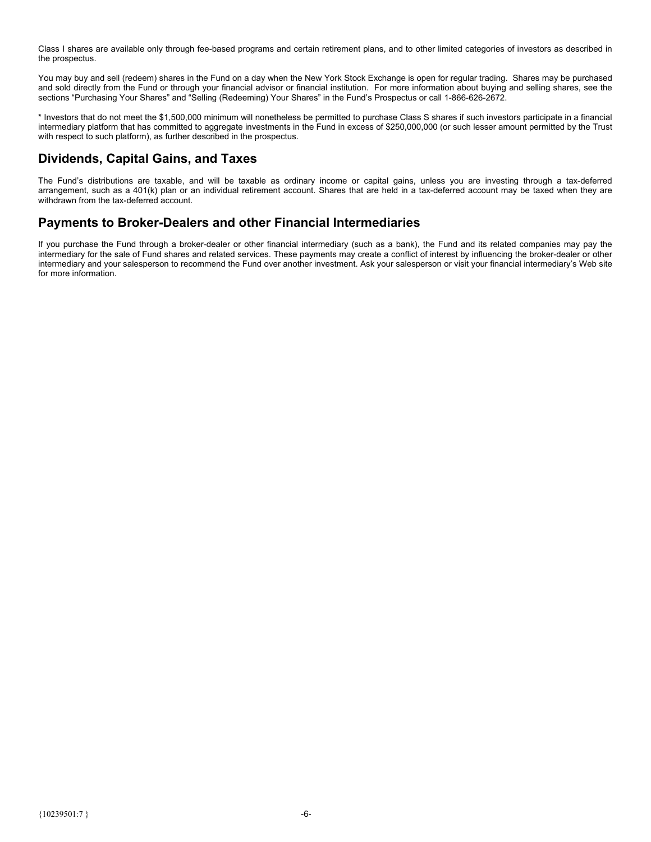<span id="page-8-0"></span>Class I shares are available only through fee-based programs and certain retirement plans, and to other limited categories of investors as described in the prospectus.

You may buy and sell (redeem) shares in the Fund on a day when the New York Stock Exchange is open for regular trading. Shares may be purchased and sold directly from the Fund or through your financial advisor or financial institution. For more information about buying and selling shares, see the sections "Purchasing Your Shares" and "Selling (Redeeming) Your Shares" in the Fund's Prospectus or call 1-866-626-2672.

\* Investors that do not meet the \$1,500,000 minimum will nonetheless be permitted to purchase Class S shares if such investors participate in a financial intermediary platform that has committed to aggregate investments in the Fund in excess of \$250,000,000 (or such lesser amount permitted by the Trust with respect to such platform), as further described in the prospectus.

# **Dividends, Capital Gains, and Taxes**

The Fund's distributions are taxable, and will be taxable as ordinary income or capital gains, unless you are investing through a tax-deferred arrangement, such as a 401(k) plan or an individual retirement account. Shares that are held in a tax-deferred account may be taxed when they are withdrawn from the tax-deferred account.

# **Payments to Broker-Dealers and other Financial Intermediaries**

If you purchase the Fund through a broker-dealer or other financial intermediary (such as a bank), the Fund and its related companies may pay the intermediary for the sale of Fund shares and related services. These payments may create a conflict of interest by influencing the broker-dealer or other intermediary and your salesperson to recommend the Fund over another investment. Ask your salesperson or visit your financial intermediary's Web site for more information.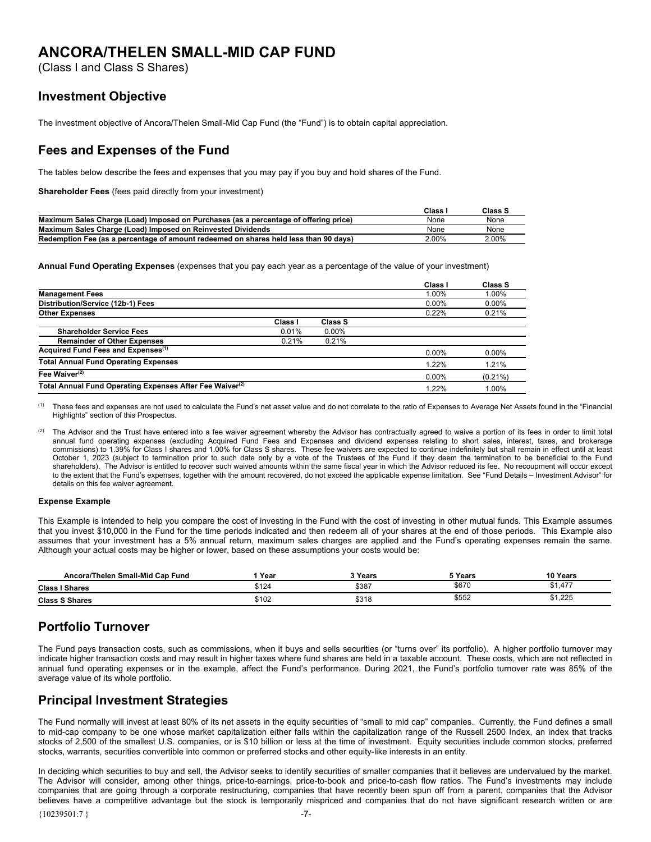# <span id="page-9-0"></span>**ANCORA/THELEN SMALL-MID CAP FUND**

(Class I and Class S Shares)

### **Investment Objective**

The investment objective of Ancora/Thelen Small-Mid Cap Fund (the "Fund") is to obtain capital appreciation.

## **Fees and Expenses of the Fund**

The tables below describe the fees and expenses that you may pay if you buy and hold shares of the Fund.

**Shareholder Fees** (fees paid directly from your investment)

|                                                                                      | Class | Class S  |
|--------------------------------------------------------------------------------------|-------|----------|
| Maximum Sales Charge (Load) Imposed on Purchases (as a percentage of offering price) | None  | None     |
| Maximum Sales Charge (Load) Imposed on Reinvested Dividends                          | None  | None     |
| Redemption Fee (as a percentage of amount redeemed on shares held less than 90 days) | 2.00% | $2.00\%$ |

**Annual Fund Operating Expenses** (expenses that you pay each year as a percentage of the value of your investment)

|                                                                      |         |          | Class I  | Class S    |
|----------------------------------------------------------------------|---------|----------|----------|------------|
| <b>Management Fees</b>                                               |         |          | 1.00%    | 1.00%      |
| Distribution/Service (12b-1) Fees                                    |         |          | 0.00%    | $0.00\%$   |
| <b>Other Expenses</b>                                                |         |          | 0.22%    | 0.21%      |
|                                                                      | Class I | Class S  |          |            |
| <b>Shareholder Service Fees</b>                                      | 0.01%   | $0.00\%$ |          |            |
| <b>Remainder of Other Expenses</b>                                   | 0.21%   | 0.21%    |          |            |
| Acquired Fund Fees and Expenses <sup>(1)</sup>                       |         |          | 0.00%    | $0.00\%$   |
| <b>Total Annual Fund Operating Expenses</b>                          |         |          | 1.22%    | 1.21%      |
| Fee Waiver $(2)$                                                     |         |          | $0.00\%$ | $(0.21\%)$ |
| Total Annual Fund Operating Expenses After Fee Waiver <sup>(2)</sup> |         |          | 1.22%    | 1.00%      |

(1) These fees and expenses are not used to calculate the Fund's net asset value and do not correlate to the ratio of Expenses to Average Net Assets found in the "Financial Highlights" section of this Prospectus.

The Advisor and the Trust have entered into a fee waiver agreement whereby the Advisor has contractually agreed to waive a portion of its fees in order to limit total annual fund operating expenses (excluding Acquired Fund Fees and Expenses and dividend expenses relating to short sales, interest, taxes, and brokerage commissions) to 1.39% for Class I shares and 1.00% for Class S shares. These fee waivers are expected to continue indefinitely but shall remain in effect until at least October 1, 2023 (subject to termination prior to such date only by a vote of the Trustees of the Fund if they deem the termination to be beneficial to the Fund shareholders). The Advisor is entitled to recover such waived amounts within the same fiscal year in which the Advisor reduced its fee. No recoupment will occur except to the extent that the Fund's expenses, together with the amount recovered, do not exceed the applicable expense limitation. See "Fund Details – Investment Advisor" for details on this fee waiver agreement.

### **Expense Example**

This Example is intended to help you compare the cost of investing in the Fund with the cost of investing in other mutual funds. This Example assumes that you invest \$10,000 in the Fund for the time periods indicated and then redeem all of your shares at the end of those periods. This Example also assumes that your investment has a 5% annual return, maximum sales charges are applied and the Fund's operating expenses remain the same. Although your actual costs may be higher or lower, based on these assumptions your costs would be:

| Ancora/Thelen Small-Mid Cap Fund | Year  | 3 Years | <sup>-</sup> Years | 10 Years              |
|----------------------------------|-------|---------|--------------------|-----------------------|
| <b>Class I Shares</b>            | \$124 | \$387   | \$670              | $\rightarrow$<br>1.41 |
| <b>Class S Shares</b>            | \$102 | \$318   | AFT<br>∽∽<br>⊍ບປ∠  | 1,225                 |

# **Portfolio Turnover**

The Fund pays transaction costs, such as commissions, when it buys and sells securities (or "turns over" its portfolio). A higher portfolio turnover may indicate higher transaction costs and may result in higher taxes where fund shares are held in a taxable account. These costs, which are not reflected in annual fund operating expenses or in the example, affect the Fund's performance. During 2021, the Fund's portfolio turnover rate was 85% of the average value of its whole portfolio.

# **Principal Investment Strategies**

The Fund normally will invest at least 80% of its net assets in the equity securities of "small to mid cap" companies. Currently, the Fund defines a small to mid-cap company to be one whose market capitalization either falls within the capitalization range of the Russell 2500 Index, an index that tracks stocks of 2,500 of the smallest U.S. companies, or is \$10 billion or less at the time of investment. Equity securities include common stocks, preferred stocks, warrants, securities convertible into common or preferred stocks and other equity-like interests in an entity.

In deciding which securities to buy and sell, the Advisor seeks to identify securities of smaller companies that it believes are undervalued by the market. The Advisor will consider, among other things, price-to-earnings, price-to-book and price-to-cash flow ratios. The Fund's investments may include companies that are going through a corporate restructuring, companies that have recently been spun off from a parent, companies that the Advisor believes have a competitive advantage but the stock is temporarily mispriced and companies that do not have significant research written or are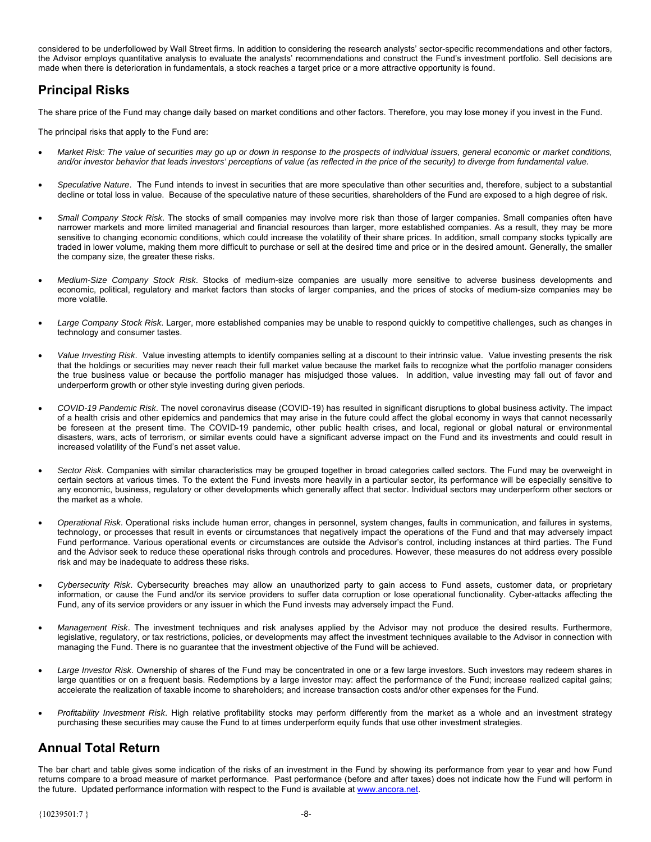<span id="page-10-0"></span>considered to be underfollowed by Wall Street firms. In addition to considering the research analysts' sector-specific recommendations and other factors, the Advisor employs quantitative analysis to evaluate the analysts' recommendations and construct the Fund's investment portfolio. Sell decisions are made when there is deterioration in fundamentals, a stock reaches a target price or a more attractive opportunity is found.

# **Principal Risks**

The share price of the Fund may change daily based on market conditions and other factors. Therefore, you may lose money if you invest in the Fund.

The principal risks that apply to the Fund are:

- *Market Risk: The value of securities may go up or down in response to the prospects of individual issuers, general economic or market conditions, and/or investor behavior that leads investors' perceptions of value (as reflected in the price of the security) to diverge from fundamental value.*
- *Speculative Nature*. The Fund intends to invest in securities that are more speculative than other securities and, therefore, subject to a substantial decline or total loss in value. Because of the speculative nature of these securities, shareholders of the Fund are exposed to a high degree of risk.
- *Small Company Stock Risk*. The stocks of small companies may involve more risk than those of larger companies. Small companies often have narrower markets and more limited managerial and financial resources than larger, more established companies. As a result, they may be more sensitive to changing economic conditions, which could increase the volatility of their share prices. In addition, small company stocks typically are traded in lower volume, making them more difficult to purchase or sell at the desired time and price or in the desired amount. Generally, the smaller the company size, the greater these risks.
- *Medium-Size Company Stock Risk*. Stocks of medium-size companies are usually more sensitive to adverse business developments and economic, political, regulatory and market factors than stocks of larger companies, and the prices of stocks of medium-size companies may be more volatile.
- *Large Company Stock Risk*. Larger, more established companies may be unable to respond quickly to competitive challenges, such as changes in technology and consumer tastes.
- *Value Investing Risk*. Value investing attempts to identify companies selling at a discount to their intrinsic value. Value investing presents the risk that the holdings or securities may never reach their full market value because the market fails to recognize what the portfolio manager considers the true business value or because the portfolio manager has misjudged those values. In addition, value investing may fall out of favor and underperform growth or other style investing during given periods.
- *COVID-19 Pandemic Risk*. The novel coronavirus disease (COVID-19) has resulted in significant disruptions to global business activity. The impact of a health crisis and other epidemics and pandemics that may arise in the future could affect the global economy in ways that cannot necessarily be foreseen at the present time. The COVID-19 pandemic, other public health crises, and local, regional or global natural or environmental disasters, wars, acts of terrorism, or similar events could have a significant adverse impact on the Fund and its investments and could result in increased volatility of the Fund's net asset value.
- *Sector Risk*. Companies with similar characteristics may be grouped together in broad categories called sectors. The Fund may be overweight in certain sectors at various times. To the extent the Fund invests more heavily in a particular sector, its performance will be especially sensitive to any economic, business, regulatory or other developments which generally affect that sector. Individual sectors may underperform other sectors or the market as a whole.
- *Operational Risk*. Operational risks include human error, changes in personnel, system changes, faults in communication, and failures in systems, technology, or processes that result in events or circumstances that negatively impact the operations of the Fund and that may adversely impact Fund performance. Various operational events or circumstances are outside the Advisor's control, including instances at third parties. The Fund and the Advisor seek to reduce these operational risks through controls and procedures. However, these measures do not address every possible risk and may be inadequate to address these risks.
- *Cybersecurity Risk*. Cybersecurity breaches may allow an unauthorized party to gain access to Fund assets, customer data, or proprietary information, or cause the Fund and/or its service providers to suffer data corruption or lose operational functionality. Cyber-attacks affecting the Fund, any of its service providers or any issuer in which the Fund invests may adversely impact the Fund.
- *Management Risk*. The investment techniques and risk analyses applied by the Advisor may not produce the desired results. Furthermore, legislative, regulatory, or tax restrictions, policies, or developments may affect the investment techniques available to the Advisor in connection with managing the Fund. There is no guarantee that the investment objective of the Fund will be achieved.
- *Large Investor Risk*. Ownership of shares of the Fund may be concentrated in one or a few large investors. Such investors may redeem shares in large quantities or on a frequent basis. Redemptions by a large investor may: affect the performance of the Fund; increase realized capital gains; accelerate the realization of taxable income to shareholders; and increase transaction costs and/or other expenses for the Fund.
- *Profitability Investment Risk*. High relative profitability stocks may perform differently from the market as a whole and an investment strategy purchasing these securities may cause the Fund to at times underperform equity funds that use other investment strategies.

# **Annual Total Return**

The bar chart and table gives some indication of the risks of an investment in the Fund by showing its performance from year to year and how Fund returns compare to a broad measure of market performance. Past performance (before and after taxes) does not indicate how the Fund will perform in the future. Updated performance information with respect to the Fund is available at www.ancora.net.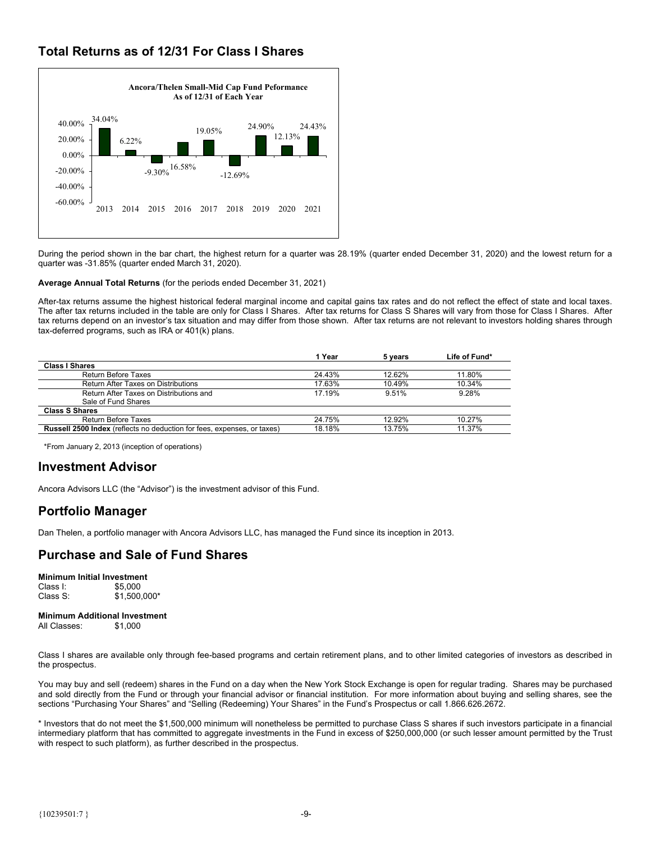# <span id="page-11-0"></span>**Total Returns as of 12/31 For Class I Shares**



During the period shown in the bar chart, the highest return for a quarter was 28.19% (quarter ended December 31, 2020) and the lowest return for a quarter was -31.85% (quarter ended March 31, 2020).

**Average Annual Total Returns** (for the periods ended December 31, 2021)

After-tax returns assume the highest historical federal marginal income and capital gains tax rates and do not reflect the effect of state and local taxes. The after tax returns included in the table are only for Class I Shares. After tax returns for Class S Shares will vary from those for Class I Shares. After tax returns depend on an investor's tax situation and may differ from those shown. After tax returns are not relevant to investors holding shares through tax-deferred programs, such as IRA or 401(k) plans.

|                                                                                | 1 Year | 5 vears   | Life of Fund* |
|--------------------------------------------------------------------------------|--------|-----------|---------------|
| <b>Class I Shares</b>                                                          |        |           |               |
| Return Before Taxes                                                            | 24.43% | 12.62%    | 11.80%        |
| Return After Taxes on Distributions                                            | 17.63% | 10.49%    | 10.34%        |
| Return After Taxes on Distributions and<br>Sale of Fund Shares                 | 17.19% | 9.51%     | 9.28%         |
| <b>Class S Shares</b>                                                          |        |           |               |
| <b>Return Before Taxes</b>                                                     | 24.75% | $12.92\%$ | 10.27%        |
| <b>Russell 2500 Index</b> (reflects no deduction for fees, expenses, or taxes) | 18.18% | 13.75%    | 11.37%        |

\*From January 2, 2013 (inception of operations)

### **Investment Advisor**

Ancora Advisors LLC (the "Advisor") is the investment advisor of this Fund.

# **Portfolio Manager**

Dan Thelen, a portfolio manager with Ancora Advisors LLC, has managed the Fund since its inception in 2013.

# **Purchase and Sale of Fund Shares**

**Minimum Initial Investment**  Class I: \$5,000 Class S: \$1,500,000\*

### **Minimum Additional Investment**

All Classes: \$1,000

Class I shares are available only through fee-based programs and certain retirement plans, and to other limited categories of investors as described in the prospectus.

You may buy and sell (redeem) shares in the Fund on a day when the New York Stock Exchange is open for regular trading. Shares may be purchased and sold directly from the Fund or through your financial advisor or financial institution. For more information about buying and selling shares, see the sections "Purchasing Your Shares" and "Selling (Redeeming) Your Shares" in the Fund's Prospectus or call 1.866.626.2672.

\* Investors that do not meet the \$1,500,000 minimum will nonetheless be permitted to purchase Class S shares if such investors participate in a financial intermediary platform that has committed to aggregate investments in the Fund in excess of \$250,000,000 (or such lesser amount permitted by the Trust with respect to such platform), as further described in the prospectus.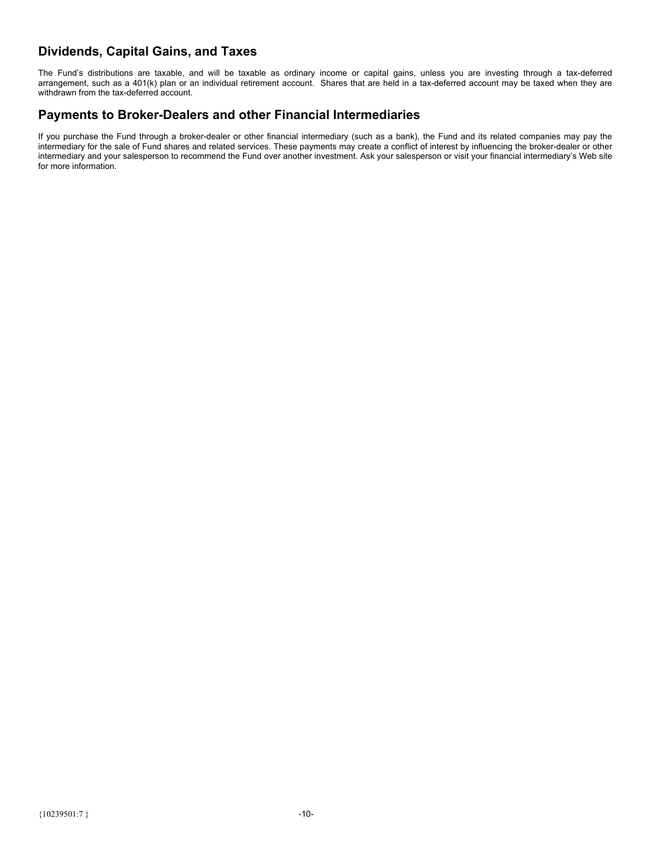# <span id="page-12-0"></span>**Dividends, Capital Gains, and Taxes**

The Fund's distributions are taxable, and will be taxable as ordinary income or capital gains, unless you are investing through a tax-deferred arrangement, such as a 401(k) plan or an individual retirement account. Shares that are held in a tax-deferred account may be taxed when they are withdrawn from the tax-deferred account.

# **Payments to Broker-Dealers and other Financial Intermediaries**

If you purchase the Fund through a broker-dealer or other financial intermediary (such as a bank), the Fund and its related companies may pay the intermediary for the sale of Fund shares and related services. These payments may create a conflict of interest by influencing the broker-dealer or other intermediary and your salesperson to recommend the Fund over another investment. Ask your salesperson or visit your financial intermediary's Web site for more information.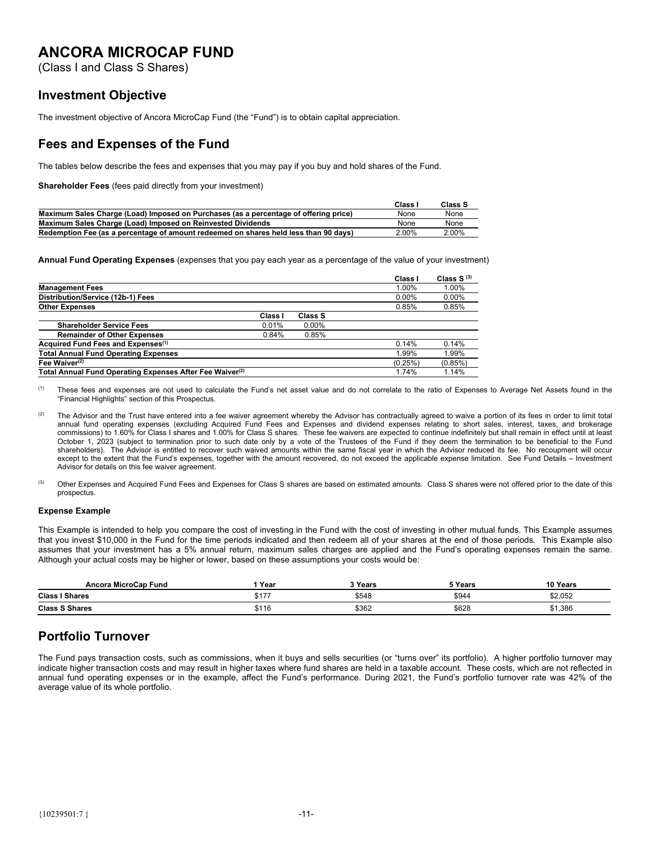# <span id="page-13-0"></span>**ANCORA MICROCAP FUND**

(Class I and Class S Shares)

### **Investment Objective**

The investment objective of Ancora MicroCap Fund (the "Fund") is to obtain capital appreciation.

### **Fees and Expenses of the Fund**

The tables below describe the fees and expenses that you may pay if you buy and hold shares of the Fund.

**Shareholder Fees** (fees paid directly from your investment)

|                                                                                      | Class I  | Class S |
|--------------------------------------------------------------------------------------|----------|---------|
| Maximum Sales Charge (Load) Imposed on Purchases (as a percentage of offering price) | None     | None    |
| Maximum Sales Charge (Load) Imposed on Reinvested Dividends                          | None     | None    |
| Redemption Fee (as a percentage of amount redeemed on shares held less than 90 days) | $2.00\%$ | 2.00%   |

**Annual Fund Operating Expenses** (expenses that you pay each year as a percentage of the value of your investment)

|                                                                      |         |          | Class    | Class $S^{(3)}$ |
|----------------------------------------------------------------------|---------|----------|----------|-----------------|
| <b>Management Fees</b>                                               |         |          | 1.00%    | 1.00%           |
| Distribution/Service (12b-1) Fees                                    |         |          | $0.00\%$ | $0.00\%$        |
| <b>Other Expenses</b>                                                |         |          | 0.85%    | 0.85%           |
|                                                                      | Class I | Class S  |          |                 |
| <b>Shareholder Service Fees</b>                                      | 0.01%   | $0.00\%$ |          |                 |
| <b>Remainder of Other Expenses</b>                                   | 0.84%   | 0.85%    |          |                 |
| Acquired Fund Fees and Expenses <sup>(1)</sup>                       |         |          | 0.14%    | 0.14%           |
| <b>Total Annual Fund Operating Expenses</b>                          |         |          | 1.99%    | 1.99%           |
| Fee Waiver $(2)$                                                     |         |          | (0.25%)  | (0.85%)         |
| Total Annual Fund Operating Expenses After Fee Waiver <sup>(2)</sup> |         |          | 1.74%    | 1.14%           |

(1) These fees and expenses are not used to calculate the Fund's net asset value and do not correlate to the ratio of Expenses to Average Net Assets found in the "Financial Highlights" section of this Prospectus.

<sup>(2)</sup> The Advisor and the Trust have entered into a fee waiver agreement whereby the Advisor has contractually agreed to waive a portion of its fees in order to limit total annual fund operating expenses (excluding Acquired Fund Fees and Expenses and dividend expenses relating to short sales, interest, taxes, and brokerage commissions) to 1.60% for Class I shares and 1.00% for Class S shares. These fee waivers are expected to continue indefinitely but shall remain in effect until at least October 1, 2023 (subject to termination prior to such date only by a vote of the Trustees of the Fund if they deem the termination to be beneficial to the Fund shareholders). The Advisor is entitled to recover such waived amounts within the same fiscal year in which the Advisor reduced its fee. No recoupment will occur except to the extent that the Fund's expenses, together with the amount recovered, do not exceed the applicable expense limitation. See Fund Details – Investment Advisor for details on this fee waiver agreement.

Other Expenses and Acquired Fund Fees and Expenses for Class S shares are based on estimated amounts. Class S shares were not offered prior to the date of this prospectus.

### **Expense Example**

This Example is intended to help you compare the cost of investing in the Fund with the cost of investing in other mutual funds. This Example assumes that you invest \$10,000 in the Fund for the time periods indicated and then redeem all of your shares at the end of those periods. This Example also assumes that your investment has a 5% annual return, maximum sales charges are applied and the Fund's operating expenses remain the same. Although your actual costs may be higher or lower, based on these assumptions your costs would be:

| Ancora MicroCap Fund  | Year        | २ Years | Years | 10 Years |
|-----------------------|-------------|---------|-------|----------|
| <b>Class I Shares</b> | <b>0477</b> | \$548   | \$944 | \$2,052  |
| <b>Class S Shares</b> | \$116       | \$362   | \$628 | \$1,386  |

# **Portfolio Turnover**

The Fund pays transaction costs, such as commissions, when it buys and sells securities (or "turns over" its portfolio). A higher portfolio turnover may indicate higher transaction costs and may result in higher taxes where fund shares are held in a taxable account. These costs, which are not reflected in annual fund operating expenses or in the example, affect the Fund's performance. During 2021, the Fund's portfolio turnover rate was 42% of the average value of its whole portfolio.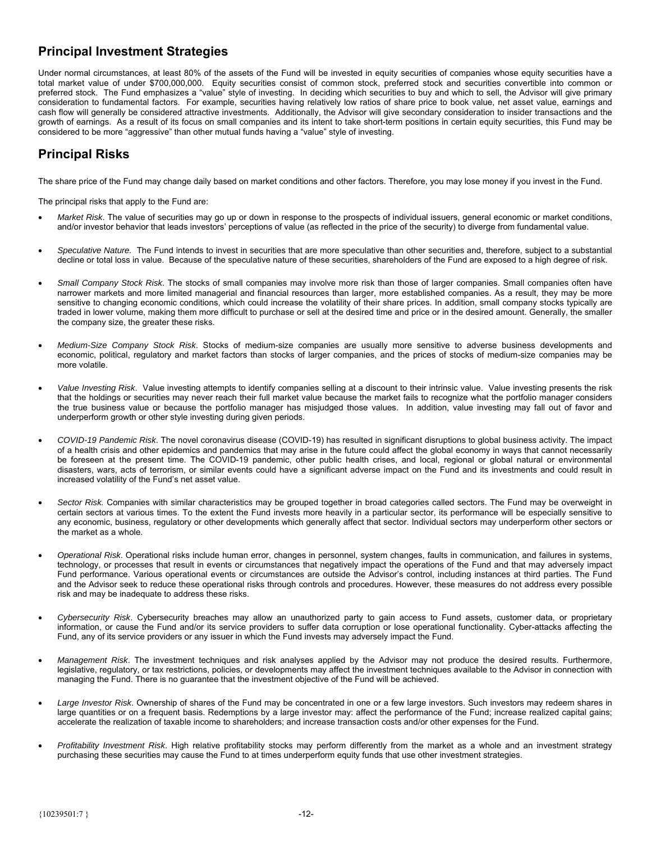# <span id="page-14-0"></span>**Principal Investment Strategies**

Under normal circumstances, at least 80% of the assets of the Fund will be invested in equity securities of companies whose equity securities have a total market value of under \$700,000,000. Equity securities consist of common stock, preferred stock and securities convertible into common or preferred stock. The Fund emphasizes a "value" style of investing. In deciding which securities to buy and which to sell, the Advisor will give primary consideration to fundamental factors. For example, securities having relatively low ratios of share price to book value, net asset value, earnings and cash flow will generally be considered attractive investments. Additionally, the Advisor will give secondary consideration to insider transactions and the growth of earnings. As a result of its focus on small companies and its intent to take short-term positions in certain equity securities, this Fund may be considered to be more "aggressive" than other mutual funds having a "value" style of investing.

# **Principal Risks**

The share price of the Fund may change daily based on market conditions and other factors. Therefore, you may lose money if you invest in the Fund.

The principal risks that apply to the Fund are:

- *Market Risk*. The value of securities may go up or down in response to the prospects of individual issuers, general economic or market conditions, and/or investor behavior that leads investors' perceptions of value (as reflected in the price of the security) to diverge from fundamental value.
- *Speculative Nature.* The Fund intends to invest in securities that are more speculative than other securities and, therefore, subject to a substantial decline or total loss in value. Because of the speculative nature of these securities, shareholders of the Fund are exposed to a high degree of risk.
- *Small Company Stock Risk*. The stocks of small companies may involve more risk than those of larger companies. Small companies often have narrower markets and more limited managerial and financial resources than larger, more established companies. As a result, they may be more sensitive to changing economic conditions, which could increase the volatility of their share prices. In addition, small company stocks typically are traded in lower volume, making them more difficult to purchase or sell at the desired time and price or in the desired amount. Generally, the smaller the company size, the greater these risks.
- *Medium-Size Company Stock Risk*. Stocks of medium-size companies are usually more sensitive to adverse business developments and economic, political, regulatory and market factors than stocks of larger companies, and the prices of stocks of medium-size companies may be more volatile.
- *Value Investing Risk*. Value investing attempts to identify companies selling at a discount to their intrinsic value. Value investing presents the risk that the holdings or securities may never reach their full market value because the market fails to recognize what the portfolio manager considers the true business value or because the portfolio manager has misjudged those values. In addition, value investing may fall out of favor and underperform growth or other style investing during given periods.
- *COVID-19 Pandemic Risk*. The novel coronavirus disease (COVID-19) has resulted in significant disruptions to global business activity. The impact of a health crisis and other epidemics and pandemics that may arise in the future could affect the global economy in ways that cannot necessarily be foreseen at the present time. The COVID-19 pandemic, other public health crises, and local, regional or global natural or environmental disasters, wars, acts of terrorism, or similar events could have a significant adverse impact on the Fund and its investments and could result in increased volatility of the Fund's net asset value.
- *Sector Risk.* Companies with similar characteristics may be grouped together in broad categories called sectors. The Fund may be overweight in certain sectors at various times. To the extent the Fund invests more heavily in a particular sector, its performance will be especially sensitive to any economic, business, regulatory or other developments which generally affect that sector. Individual sectors may underperform other sectors or the market as a whole.
- *Operational Risk*. Operational risks include human error, changes in personnel, system changes, faults in communication, and failures in systems, technology, or processes that result in events or circumstances that negatively impact the operations of the Fund and that may adversely impact Fund performance. Various operational events or circumstances are outside the Advisor's control, including instances at third parties. The Fund and the Advisor seek to reduce these operational risks through controls and procedures. However, these measures do not address every possible risk and may be inadequate to address these risks.
- *Cybersecurity Risk*. Cybersecurity breaches may allow an unauthorized party to gain access to Fund assets, customer data, or proprietary information, or cause the Fund and/or its service providers to suffer data corruption or lose operational functionality. Cyber-attacks affecting the Fund, any of its service providers or any issuer in which the Fund invests may adversely impact the Fund.
- *Management Risk*. The investment techniques and risk analyses applied by the Advisor may not produce the desired results. Furthermore, legislative, regulatory, or tax restrictions, policies, or developments may affect the investment techniques available to the Advisor in connection with managing the Fund. There is no guarantee that the investment objective of the Fund will be achieved.
- *Large Investor Risk*. Ownership of shares of the Fund may be concentrated in one or a few large investors. Such investors may redeem shares in large quantities or on a frequent basis. Redemptions by a large investor may: affect the performance of the Fund; increase realized capital gains; accelerate the realization of taxable income to shareholders; and increase transaction costs and/or other expenses for the Fund.
- *Profitability Investment Risk*. High relative profitability stocks may perform differently from the market as a whole and an investment strategy purchasing these securities may cause the Fund to at times underperform equity funds that use other investment strategies.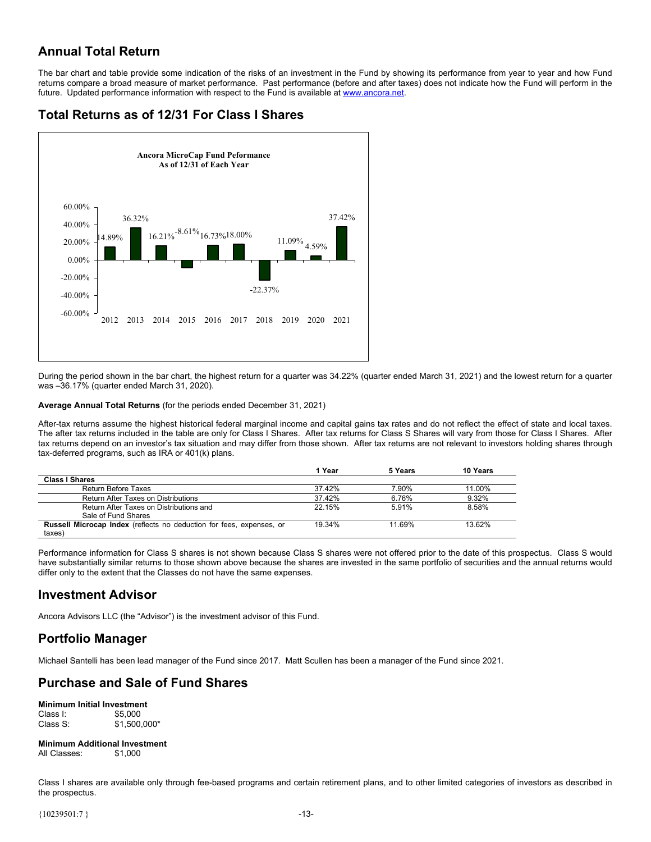# <span id="page-15-0"></span>**Annual Total Return**

The bar chart and table provide some indication of the risks of an investment in the Fund by showing its performance from year to year and how Fund returns compare a broad measure of market performance. Past performance (before and after taxes) does not indicate how the Fund will perform in the future. Updated performance information with respect to the Fund is available at www.ancora.net.

# **Total Returns as of 12/31 For Class I Shares**



During the period shown in the bar chart, the highest return for a quarter was 34.22% (quarter ended March 31, 2021) and the lowest return for a quarter was –36.17% (quarter ended March 31, 2020).

### **Average Annual Total Returns** (for the periods ended December 31, 2021)

After-tax returns assume the highest historical federal marginal income and capital gains tax rates and do not reflect the effect of state and local taxes. The after tax returns included in the table are only for Class I Shares. After tax returns for Class S Shares will vary from those for Class I Shares. After tax returns depend on an investor's tax situation and may differ from those shown. After tax returns are not relevant to investors holding shares through tax-deferred programs, such as IRA or 401(k) plans.

|                                                                      | 1 Year | 5 Years | 10 Years |
|----------------------------------------------------------------------|--------|---------|----------|
| <b>Class I Shares</b>                                                |        |         |          |
| Return Before Taxes                                                  | 37.42% | 7.90%   | 11.00%   |
| Return After Taxes on Distributions                                  | 37.42% | 6.76%   | 9.32%    |
| Return After Taxes on Distributions and                              | 22.15% | 5.91%   | 8.58%    |
| Sale of Fund Shares                                                  |        |         |          |
| Russell Microcap Index (reflects no deduction for fees, expenses, or | 19 34% | 11.69%  | 13.62%   |
| taxes)                                                               |        |         |          |

Performance information for Class S shares is not shown because Class S shares were not offered prior to the date of this prospectus. Class S would have substantially similar returns to those shown above because the shares are invested in the same portfolio of securities and the annual returns would differ only to the extent that the Classes do not have the same expenses.

### **Investment Advisor**

Ancora Advisors LLC (the "Advisor") is the investment advisor of this Fund.

# **Portfolio Manager**

Michael Santelli has been lead manager of the Fund since 2017. Matt Scullen has been a manager of the Fund since 2021.

# **Purchase and Sale of Fund Shares**

**Minimum Initial Investment**  Class I: \$5,000<br>Class S: \$1.500  $$1,500,000*$ 

#### **Minimum Additional Investment**  All Classes: \$1,000

Class I shares are available only through fee-based programs and certain retirement plans, and to other limited categories of investors as described in the prospectus.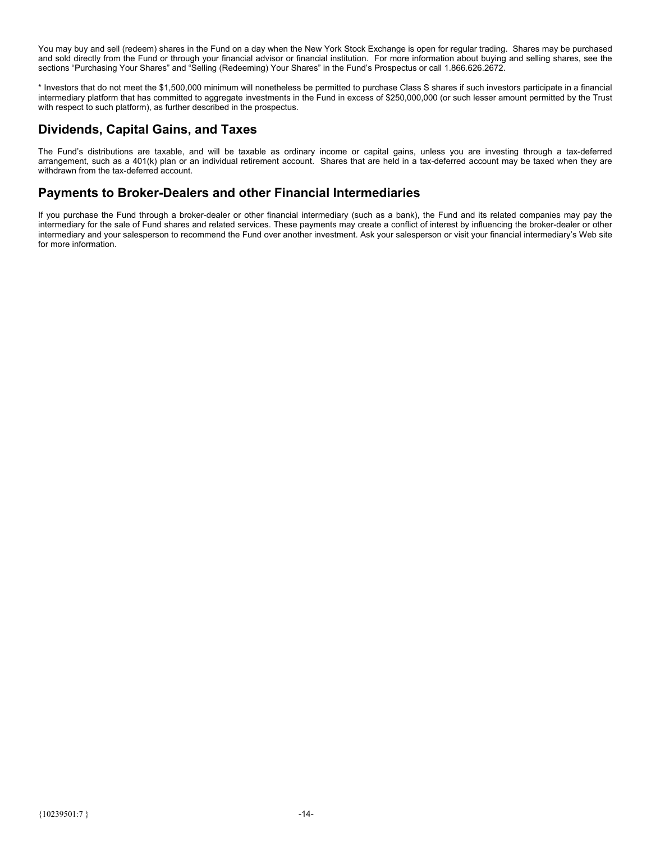<span id="page-16-0"></span>You may buy and sell (redeem) shares in the Fund on a day when the New York Stock Exchange is open for regular trading. Shares may be purchased and sold directly from the Fund or through your financial advisor or financial institution. For more information about buying and selling shares, see the sections "Purchasing Your Shares" and "Selling (Redeeming) Your Shares" in the Fund's Prospectus or call 1.866.626.2672.

\* Investors that do not meet the \$1,500,000 minimum will nonetheless be permitted to purchase Class S shares if such investors participate in a financial intermediary platform that has committed to aggregate investments in the Fund in excess of \$250,000,000 (or such lesser amount permitted by the Trust with respect to such platform), as further described in the prospectus.

### **Dividends, Capital Gains, and Taxes**

The Fund's distributions are taxable, and will be taxable as ordinary income or capital gains, unless you are investing through a tax-deferred arrangement, such as a 401(k) plan or an individual retirement account. Shares that are held in a tax-deferred account may be taxed when they are withdrawn from the tax-deferred account.

### **Payments to Broker-Dealers and other Financial Intermediaries**

If you purchase the Fund through a broker-dealer or other financial intermediary (such as a bank), the Fund and its related companies may pay the intermediary for the sale of Fund shares and related services. These payments may create a conflict of interest by influencing the broker-dealer or other intermediary and your salesperson to recommend the Fund over another investment. Ask your salesperson or visit your financial intermediary's Web site for more information.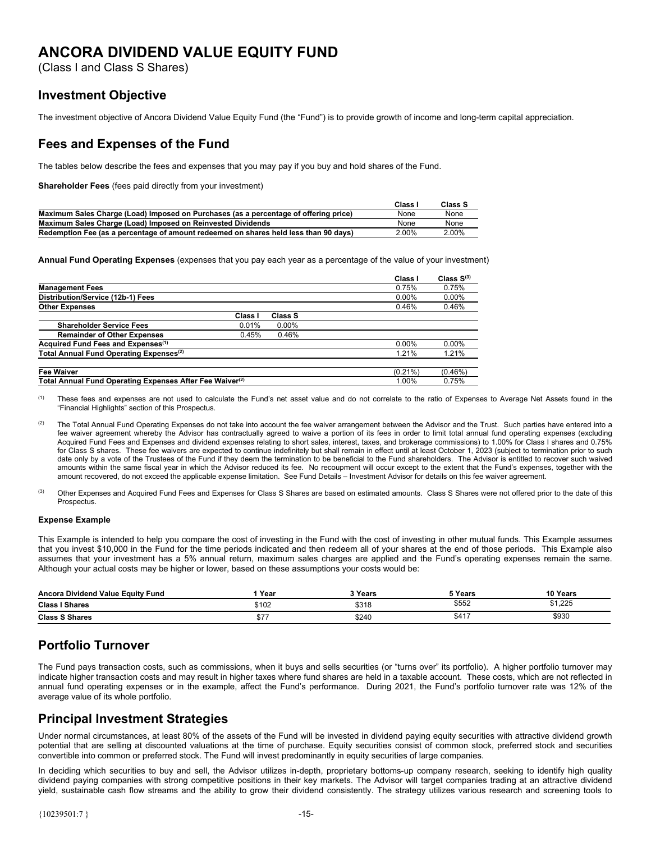# <span id="page-17-0"></span>**ANCORA DIVIDEND VALUE EQUITY FUND**

(Class I and Class S Shares)

### **Investment Objective**

The investment objective of Ancora Dividend Value Equity Fund (the "Fund") is to provide growth of income and long-term capital appreciation.

### **Fees and Expenses of the Fund**

The tables below describe the fees and expenses that you may pay if you buy and hold shares of the Fund.

**Shareholder Fees** (fees paid directly from your investment)

|                                                                                      | Class | Class S |
|--------------------------------------------------------------------------------------|-------|---------|
| Maximum Sales Charge (Load) Imposed on Purchases (as a percentage of offering price) | None  | None    |
| Maximum Sales Charge (Load) Imposed on Reinvested Dividends                          | None  | None    |
| Redemption Fee (as a percentage of amount redeemed on shares held less than 90 days) | 2.00% | 2.00%   |

**Annual Fund Operating Expenses** (expenses that you pay each year as a percentage of the value of your investment)

|                                                                      |         |                | Class I    | Class $S^{(3)}$ |
|----------------------------------------------------------------------|---------|----------------|------------|-----------------|
| <b>Management Fees</b>                                               |         |                | 0.75%      | 0.75%           |
| Distribution/Service (12b-1) Fees                                    |         |                | $0.00\%$   | $0.00\%$        |
| <b>Other Expenses</b>                                                |         |                | 0.46%      | 0.46%           |
|                                                                      | Class I | <b>Class S</b> |            |                 |
| <b>Shareholder Service Fees</b>                                      | 0.01%   | $0.00\%$       |            |                 |
| <b>Remainder of Other Expenses</b>                                   | 0.45%   | 0.46%          |            |                 |
| Acquired Fund Fees and Expenses <sup>(1)</sup>                       |         |                | $0.00\%$   | $0.00\%$        |
| Total Annual Fund Operating Expenses <sup>(2)</sup>                  |         |                | 1.21%      | 1.21%           |
| <b>Fee Waiver</b>                                                    |         |                | $(0.21\%)$ | $(0.46\%)$      |
| Total Annual Fund Operating Expenses After Fee Waiver <sup>(2)</sup> |         |                | 1.00%      | 0.75%           |

<sup>(1)</sup> These fees and expenses are not used to calculate the Fund's net asset value and do not correlate to the ratio of Expenses to Average Net Assets found in the "Financial Highlights" section of this Prospectus.

(2) The Total Annual Fund Operating Expenses do not take into account the fee waiver arrangement between the Advisor and the Trust. Such parties have entered into a fee waiver agreement whereby the Advisor has contractually agreed to waive a portion of its fees in order to limit total annual fund operating expenses (excluding Acquired Fund Fees and Expenses and dividend expenses relating to short sales, interest, taxes, and brokerage commissions) to 1.00% for Class I shares and 0.75% for Class S shares. These fee waivers are expected to continue indefinitely but shall remain in effect until at least October 1, 2023 (subject to termination prior to such date only by a vote of the Trustees of the Fund if they deem the termination to be beneficial to the Fund shareholders. The Advisor is entitled to recover such waived amounts within the same fiscal year in which the Advisor reduced its fee. No recoupment will occur except to the extent that the Fund's expenses, together with the amount recovered, do not exceed the applicable expense limitation. See Fund Details – Investment Advisor for details on this fee waiver agreement.

<sup>(3)</sup> Other Expenses and Acquired Fund Fees and Expenses for Class S Shares are based on estimated amounts. Class S Shares were not offered prior to the date of this Prospectus.

### **Expense Example**

This Example is intended to help you compare the cost of investing in the Fund with the cost of investing in other mutual funds. This Example assumes that you invest \$10,000 in the Fund for the time periods indicated and then redeem all of your shares at the end of those periods. This Example also assumes that your investment has a 5% annual return, maximum sales charges are applied and the Fund's operating expenses remain the same. Although your actual costs may be higher or lower, based on these assumptions your costs would be:

| Ancora Dividend Value Equity Fund | Year  | `Years | ™ Years | 10 Years          |
|-----------------------------------|-------|--------|---------|-------------------|
| <b>Class I Shares</b>             | \$102 | \$318  | \$552   | よ1 つつに<br>ے کے, ا |
| <b>Class S Shares</b>             | \$7   | \$240  | \$417   | \$930             |

# **Portfolio Turnover**

The Fund pays transaction costs, such as commissions, when it buys and sells securities (or "turns over" its portfolio). A higher portfolio turnover may indicate higher transaction costs and may result in higher taxes where fund shares are held in a taxable account. These costs, which are not reflected in annual fund operating expenses or in the example, affect the Fund's performance. During 2021, the Fund's portfolio turnover rate was 12% of the average value of its whole portfolio.

### **Principal Investment Strategies**

Under normal circumstances, at least 80% of the assets of the Fund will be invested in dividend paying equity securities with attractive dividend growth potential that are selling at discounted valuations at the time of purchase. Equity securities consist of common stock, preferred stock and securities convertible into common or preferred stock. The Fund will invest predominantly in equity securities of large companies.

In deciding which securities to buy and sell, the Advisor utilizes in-depth, proprietary bottoms-up company research, seeking to identify high quality dividend paying companies with strong competitive positions in their key markets. The Advisor will target companies trading at an attractive dividend yield, sustainable cash flow streams and the ability to grow their dividend consistently. The strategy utilizes various research and screening tools to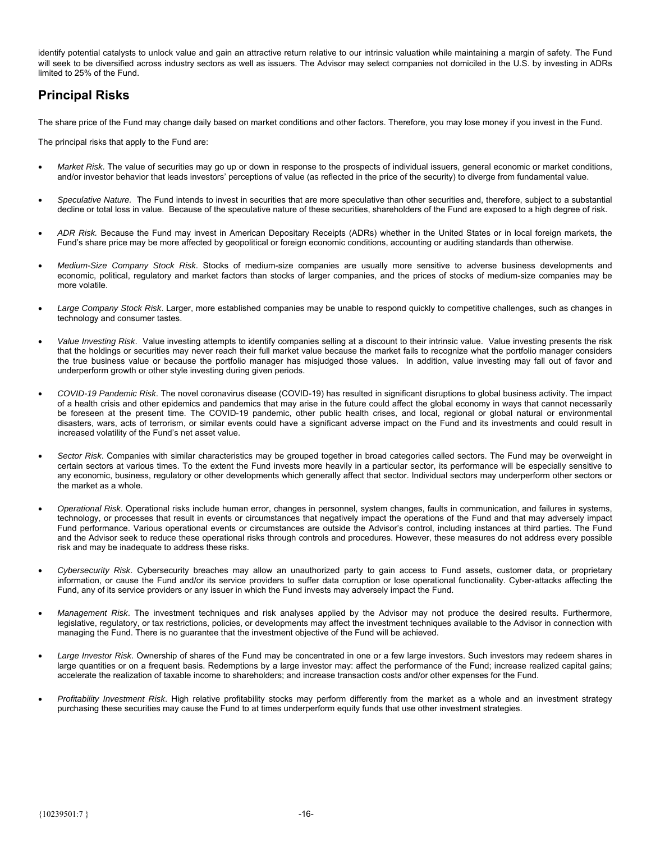<span id="page-18-0"></span>identify potential catalysts to unlock value and gain an attractive return relative to our intrinsic valuation while maintaining a margin of safety. The Fund will seek to be diversified across industry sectors as well as issuers. The Advisor may select companies not domiciled in the U.S. by investing in ADRs limited to 25% of the Fund.

# **Principal Risks**

The share price of the Fund may change daily based on market conditions and other factors. Therefore, you may lose money if you invest in the Fund.

The principal risks that apply to the Fund are:

- *Market Risk*. The value of securities may go up or down in response to the prospects of individual issuers, general economic or market conditions, and/or investor behavior that leads investors' perceptions of value (as reflected in the price of the security) to diverge from fundamental value.
- *Speculative Nature.* The Fund intends to invest in securities that are more speculative than other securities and, therefore, subject to a substantial decline or total loss in value. Because of the speculative nature of these securities, shareholders of the Fund are exposed to a high degree of risk.
- *ADR Risk.* Because the Fund may invest in American Depositary Receipts (ADRs) whether in the United States or in local foreign markets, the Fund's share price may be more affected by geopolitical or foreign economic conditions, accounting or auditing standards than otherwise.
- *Medium-Size Company Stock Risk*. Stocks of medium-size companies are usually more sensitive to adverse business developments and economic, political, regulatory and market factors than stocks of larger companies, and the prices of stocks of medium-size companies may be more volatile.
- *Large Company Stock Risk*. Larger, more established companies may be unable to respond quickly to competitive challenges, such as changes in technology and consumer tastes.
- *Value Investing Risk*. Value investing attempts to identify companies selling at a discount to their intrinsic value. Value investing presents the risk that the holdings or securities may never reach their full market value because the market fails to recognize what the portfolio manager considers the true business value or because the portfolio manager has misjudged those values. In addition, value investing may fall out of favor and underperform growth or other style investing during given periods.
- *COVID-19 Pandemic Risk*. The novel coronavirus disease (COVID-19) has resulted in significant disruptions to global business activity. The impact of a health crisis and other epidemics and pandemics that may arise in the future could affect the global economy in ways that cannot necessarily be foreseen at the present time. The COVID-19 pandemic, other public health crises, and local, regional or global natural or environmental disasters, wars, acts of terrorism, or similar events could have a significant adverse impact on the Fund and its investments and could result in increased volatility of the Fund's net asset value.
- *Sector Risk*. Companies with similar characteristics may be grouped together in broad categories called sectors. The Fund may be overweight in certain sectors at various times. To the extent the Fund invests more heavily in a particular sector, its performance will be especially sensitive to any economic, business, regulatory or other developments which generally affect that sector. Individual sectors may underperform other sectors or the market as a whole.
- *Operational Risk*. Operational risks include human error, changes in personnel, system changes, faults in communication, and failures in systems, technology, or processes that result in events or circumstances that negatively impact the operations of the Fund and that may adversely impact Fund performance. Various operational events or circumstances are outside the Advisor's control, including instances at third parties. The Fund and the Advisor seek to reduce these operational risks through controls and procedures. However, these measures do not address every possible risk and may be inadequate to address these risks.
- *Cybersecurity Risk*. Cybersecurity breaches may allow an unauthorized party to gain access to Fund assets, customer data, or proprietary information, or cause the Fund and/or its service providers to suffer data corruption or lose operational functionality. Cyber-attacks affecting the Fund, any of its service providers or any issuer in which the Fund invests may adversely impact the Fund.
- *Management Risk*. The investment techniques and risk analyses applied by the Advisor may not produce the desired results. Furthermore, legislative, regulatory, or tax restrictions, policies, or developments may affect the investment techniques available to the Advisor in connection with managing the Fund. There is no guarantee that the investment objective of the Fund will be achieved.
- *Large Investor Risk*. Ownership of shares of the Fund may be concentrated in one or a few large investors. Such investors may redeem shares in large quantities or on a frequent basis. Redemptions by a large investor may: affect the performance of the Fund; increase realized capital gains; accelerate the realization of taxable income to shareholders; and increase transaction costs and/or other expenses for the Fund.
- *Profitability Investment Risk*. High relative profitability stocks may perform differently from the market as a whole and an investment strategy purchasing these securities may cause the Fund to at times underperform equity funds that use other investment strategies.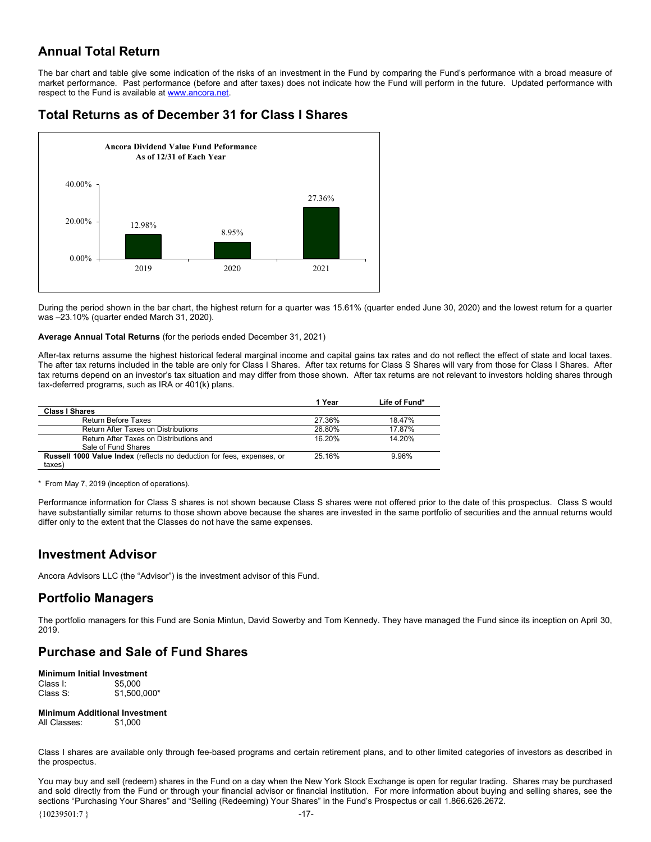# <span id="page-19-0"></span>**Annual Total Return**

The bar chart and table give some indication of the risks of an investment in the Fund by comparing the Fund's performance with a broad measure of market performance. Past performance (before and after taxes) does not indicate how the Fund will perform in the future. Updated performance with respect to the Fund is available at www.ancora.net.

# **Total Returns as of December 31 for Class I Shares**



During the period shown in the bar chart, the highest return for a quarter was 15.61% (quarter ended June 30, 2020) and the lowest return for a quarter was –23.10% (quarter ended March 31, 2020).

### **Average Annual Total Returns** (for the periods ended December 31, 2021)

After-tax returns assume the highest historical federal marginal income and capital gains tax rates and do not reflect the effect of state and local taxes. The after tax returns included in the table are only for Class I Shares. After tax returns for Class S Shares will vary from those for Class I Shares. After tax returns depend on an investor's tax situation and may differ from those shown. After tax returns are not relevant to investors holding shares through tax-deferred programs, such as IRA or 401(k) plans.

| 1 Year | Life of Fund* |
|--------|---------------|
|        |               |
| 27.36% | 18 47%        |
| 26.80% | 17.87%        |
| 16 20% | 14 20%        |
|        |               |
| 25 16% | 9.96%         |
|        |               |
|        |               |

\* From May 7, 2019 (inception of operations).

Performance information for Class S shares is not shown because Class S shares were not offered prior to the date of this prospectus. Class S would have substantially similar returns to those shown above because the shares are invested in the same portfolio of securities and the annual returns would differ only to the extent that the Classes do not have the same expenses.

### **Investment Advisor**

Ancora Advisors LLC (the "Advisor") is the investment advisor of this Fund.

### **Portfolio Managers**

The portfolio managers for this Fund are Sonia Mintun, David Sowerby and Tom Kennedy. They have managed the Fund since its inception on April 30, 2019.

# **Purchase and Sale of Fund Shares**

**Minimum Initial Investment**  Class I: \$5,000<br>Class S: \$1.500  $$1,500,000*$ 

**Minimum Additional Investment**  All Classes: \$1,000

Class I shares are available only through fee-based programs and certain retirement plans, and to other limited categories of investors as described in the prospectus.

You may buy and sell (redeem) shares in the Fund on a day when the New York Stock Exchange is open for regular trading. Shares may be purchased and sold directly from the Fund or through your financial advisor or financial institution. For more information about buying and selling shares, see the sections "Purchasing Your Shares" and "Selling (Redeeming) Your Shares" in the Fund's Prospectus or call 1.866.626.2672.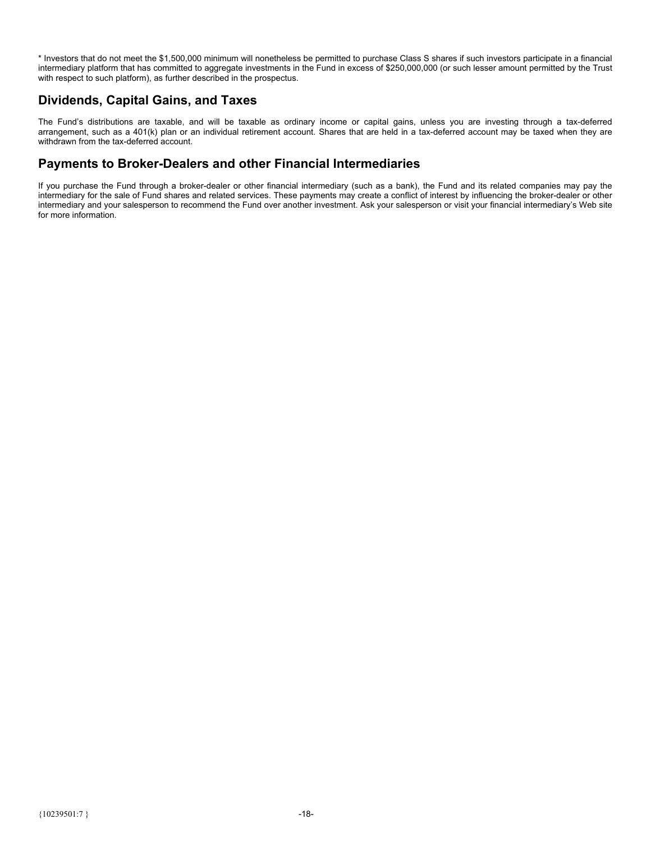<span id="page-20-0"></span>\* Investors that do not meet the \$1,500,000 minimum will nonetheless be permitted to purchase Class S shares if such investors participate in a financial intermediary platform that has committed to aggregate investments in the Fund in excess of \$250,000,000 (or such lesser amount permitted by the Trust with respect to such platform), as further described in the prospectus.

### **Dividends, Capital Gains, and Taxes**

The Fund's distributions are taxable, and will be taxable as ordinary income or capital gains, unless you are investing through a tax-deferred arrangement, such as a 401(k) plan or an individual retirement account. Shares that are held in a tax-deferred account may be taxed when they are withdrawn from the tax-deferred account.

## **Payments to Broker-Dealers and other Financial Intermediaries**

If you purchase the Fund through a broker-dealer or other financial intermediary (such as a bank), the Fund and its related companies may pay the intermediary for the sale of Fund shares and related services. These payments may create a conflict of interest by influencing the broker-dealer or other intermediary and your salesperson to recommend the Fund over another investment. Ask your salesperson or visit your financial intermediary's Web site for more information.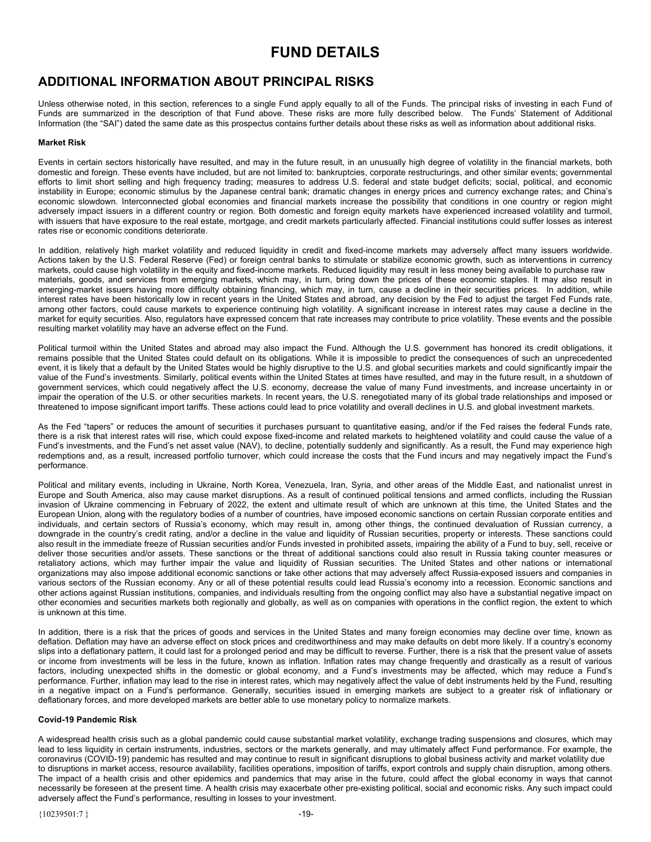# **FUND DETAILS**

# <span id="page-21-0"></span>**ADDITIONAL INFORMATION ABOUT PRINCIPAL RISKS**

Unless otherwise noted, in this section, references to a single Fund apply equally to all of the Funds. The principal risks of investing in each Fund of Funds are summarized in the description of that Fund above. These risks are more fully described below. The Funds' Statement of Additional Information (the "SAI") dated the same date as this prospectus contains further details about these risks as well as information about additional risks.

### **Market Risk**

Events in certain sectors historically have resulted, and may in the future result, in an unusually high degree of volatility in the financial markets, both domestic and foreign. These events have included, but are not limited to: bankruptcies, corporate restructurings, and other similar events; governmental efforts to limit short selling and high frequency trading; measures to address U.S. federal and state budget deficits; social, political, and economic instability in Europe; economic stimulus by the Japanese central bank; dramatic changes in energy prices and currency exchange rates; and China's economic slowdown. Interconnected global economies and financial markets increase the possibility that conditions in one country or region might adversely impact issuers in a different country or region. Both domestic and foreign equity markets have experienced increased volatility and turmoil, with issuers that have exposure to the real estate, mortgage, and credit markets particularly affected. Financial institutions could suffer losses as interest rates rise or economic conditions deteriorate.

In addition, relatively high market volatility and reduced liquidity in credit and fixed-income markets may adversely affect many issuers worldwide. Actions taken by the U.S. Federal Reserve (Fed) or foreign central banks to stimulate or stabilize economic growth, such as interventions in currency markets, could cause high volatility in the equity and fixed-income markets. Reduced liquidity may result in less money being available to purchase raw materials, goods, and services from emerging markets, which may, in turn, bring down the prices of these economic staples. It may also result in emerging-market issuers having more difficulty obtaining financing, which may, in turn, cause a decline in their securities prices. In addition, while interest rates have been historically low in recent years in the United States and abroad, any decision by the Fed to adjust the target Fed Funds rate, among other factors, could cause markets to experience continuing high volatility. A significant increase in interest rates may cause a decline in the market for equity securities. Also, regulators have expressed concern that rate increases may contribute to price volatility. These events and the possible resulting market volatility may have an adverse effect on the Fund.

Political turmoil within the United States and abroad may also impact the Fund. Although the U.S. government has honored its credit obligations, it remains possible that the United States could default on its obligations. While it is impossible to predict the consequences of such an unprecedented event, it is likely that a default by the United States would be highly disruptive to the U.S. and global securities markets and could significantly impair the value of the Fund's investments. Similarly, political events within the United States at times have resulted, and may in the future result, in a shutdown of government services, which could negatively affect the U.S. economy, decrease the value of many Fund investments, and increase uncertainty in or impair the operation of the U.S. or other securities markets. In recent years, the U.S. renegotiated many of its global trade relationships and imposed or threatened to impose significant import tariffs. These actions could lead to price volatility and overall declines in U.S. and global investment markets.

As the Fed "tapers" or reduces the amount of securities it purchases pursuant to quantitative easing, and/or if the Fed raises the federal Funds rate, there is a risk that interest rates will rise, which could expose fixed-income and related markets to heightened volatility and could cause the value of a Fund's investments, and the Fund's net asset value (NAV), to decline, potentially suddenly and significantly. As a result, the Fund may experience high redemptions and, as a result, increased portfolio turnover, which could increase the costs that the Fund incurs and may negatively impact the Fund's performance.

Political and military events, including in Ukraine, North Korea, Venezuela, Iran, Syria, and other areas of the Middle East, and nationalist unrest in Europe and South America, also may cause market disruptions. As a result of continued political tensions and armed conflicts, including the Russian invasion of Ukraine commencing in February of 2022, the extent and ultimate result of which are unknown at this time, the United States and the European Union, along with the regulatory bodies of a number of countries, have imposed economic sanctions on certain Russian corporate entities and individuals, and certain sectors of Russia's economy, which may result in, among other things, the continued devaluation of Russian currency, a downgrade in the country's credit rating, and/or a decline in the value and liquidity of Russian securities, property or interests. These sanctions could also result in the immediate freeze of Russian securities and/or Funds invested in prohibited assets, impairing the ability of a Fund to buy, sell, receive or deliver those securities and/or assets. These sanctions or the threat of additional sanctions could also result in Russia taking counter measures or retaliatory actions, which may further impair the value and liquidity of Russian securities. The United States and other nations or international organizations may also impose additional economic sanctions or take other actions that may adversely affect Russia-exposed issuers and companies in various sectors of the Russian economy. Any or all of these potential results could lead Russia's economy into a recession. Economic sanctions and other actions against Russian institutions, companies, and individuals resulting from the ongoing conflict may also have a substantial negative impact on other economies and securities markets both regionally and globally, as well as on companies with operations in the conflict region, the extent to which is unknown at this time.

In addition, there is a risk that the prices of goods and services in the United States and many foreign economies may decline over time, known as deflation. Deflation may have an adverse effect on stock prices and creditworthiness and may make defaults on debt more likely. If a country's economy slips into a deflationary pattern, it could last for a prolonged period and may be difficult to reverse. Further, there is a risk that the present value of assets or income from investments will be less in the future, known as inflation. Inflation rates may change frequently and drastically as a result of various factors, including unexpected shifts in the domestic or global economy, and a Fund's investments may be affected, which may reduce a Fund's performance. Further, inflation may lead to the rise in interest rates, which may negatively affect the value of debt instruments held by the Fund, resulting in a negative impact on a Fund's performance. Generally, securities issued in emerging markets are subject to a greater risk of inflationary or deflationary forces, and more developed markets are better able to use monetary policy to normalize markets.

### **Covid-19 Pandemic Risk**

A widespread health crisis such as a global pandemic could cause substantial market volatility, exchange trading suspensions and closures, which may lead to less liquidity in certain instruments, industries, sectors or the markets generally, and may ultimately affect Fund performance. For example, the coronavirus (COVID-19) pandemic has resulted and may continue to result in significant disruptions to global business activity and market volatility due to disruptions in market access, resource availability, facilities operations, imposition of tariffs, export controls and supply chain disruption, among others. The impact of a health crisis and other epidemics and pandemics that may arise in the future, could affect the global economy in ways that cannot necessarily be foreseen at the present time. A health crisis may exacerbate other pre-existing political, social and economic risks. Any such impact could adversely affect the Fund's performance, resulting in losses to your investment.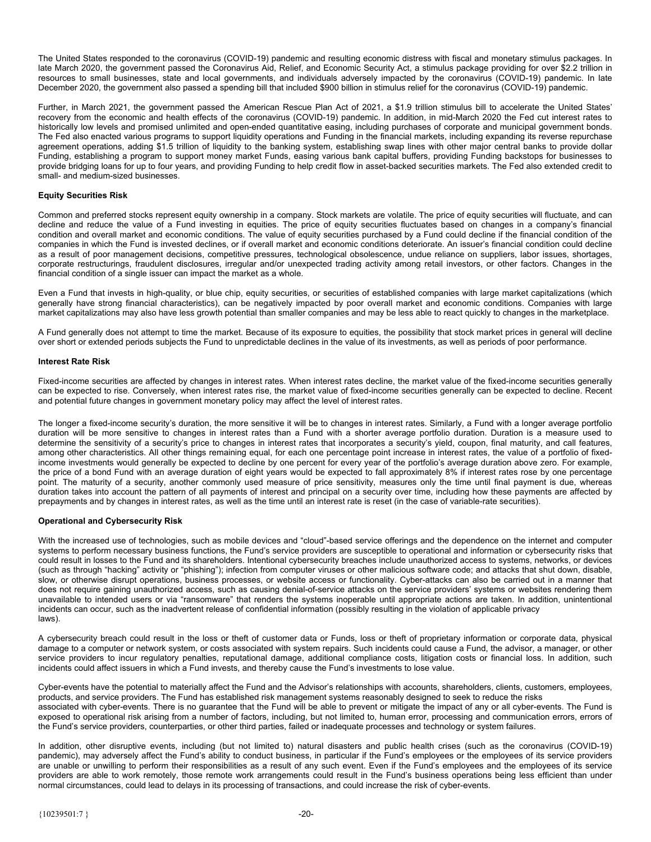The United States responded to the coronavirus (COVID-19) pandemic and resulting economic distress with fiscal and monetary stimulus packages. In late March 2020, the government passed the Coronavirus Aid, Relief, and Economic Security Act, a stimulus package providing for over \$2.2 trillion in resources to small businesses, state and local governments, and individuals adversely impacted by the coronavirus (COVID-19) pandemic. In late December 2020, the government also passed a spending bill that included \$900 billion in stimulus relief for the coronavirus (COVID-19) pandemic.

Further, in March 2021, the government passed the American Rescue Plan Act of 2021, a \$1.9 trillion stimulus bill to accelerate the United States' recovery from the economic and health effects of the coronavirus (COVID-19) pandemic. In addition, in mid-March 2020 the Fed cut interest rates to historically low levels and promised unlimited and open-ended quantitative easing, including purchases of corporate and municipal government bonds. The Fed also enacted various programs to support liquidity operations and Funding in the financial markets, including expanding its reverse repurchase agreement operations, adding \$1.5 trillion of liquidity to the banking system, establishing swap lines with other major central banks to provide dollar Funding, establishing a program to support money market Funds, easing various bank capital buffers, providing Funding backstops for businesses to provide bridging loans for up to four years, and providing Funding to help credit flow in asset-backed securities markets. The Fed also extended credit to small- and medium-sized businesses.

### **Equity Securities Risk**

Common and preferred stocks represent equity ownership in a company. Stock markets are volatile. The price of equity securities will fluctuate, and can decline and reduce the value of a Fund investing in equities. The price of equity securities fluctuates based on changes in a company's financial condition and overall market and economic conditions. The value of equity securities purchased by a Fund could decline if the financial condition of the companies in which the Fund is invested declines, or if overall market and economic conditions deteriorate. An issuer's financial condition could decline as a result of poor management decisions, competitive pressures, technological obsolescence, undue reliance on suppliers, labor issues, shortages, corporate restructurings, fraudulent disclosures, irregular and/or unexpected trading activity among retail investors, or other factors. Changes in the financial condition of a single issuer can impact the market as a whole.

Even a Fund that invests in high-quality, or blue chip, equity securities, or securities of established companies with large market capitalizations (which generally have strong financial characteristics), can be negatively impacted by poor overall market and economic conditions. Companies with large market capitalizations may also have less growth potential than smaller companies and may be less able to react quickly to changes in the marketplace.

A Fund generally does not attempt to time the market. Because of its exposure to equities, the possibility that stock market prices in general will decline over short or extended periods subjects the Fund to unpredictable declines in the value of its investments, as well as periods of poor performance.

#### **Interest Rate Risk**

Fixed-income securities are affected by changes in interest rates. When interest rates decline, the market value of the fixed-income securities generally can be expected to rise. Conversely, when interest rates rise, the market value of fixed-income securities generally can be expected to decline. Recent and potential future changes in government monetary policy may affect the level of interest rates.

The longer a fixed-income security's duration, the more sensitive it will be to changes in interest rates. Similarly, a Fund with a longer average portfolio duration will be more sensitive to changes in interest rates than a Fund with a shorter average portfolio duration. Duration is a measure used to determine the sensitivity of a security's price to changes in interest rates that incorporates a security's yield, coupon, final maturity, and call features, among other characteristics. All other things remaining equal, for each one percentage point increase in interest rates, the value of a portfolio of fixedincome investments would generally be expected to decline by one percent for every year of the portfolio's average duration above zero. For example, the price of a bond Fund with an average duration of eight years would be expected to fall approximately 8% if interest rates rose by one percentage point. The maturity of a security, another commonly used measure of price sensitivity, measures only the time until final payment is due, whereas duration takes into account the pattern of all payments of interest and principal on a security over time, including how these payments are affected by prepayments and by changes in interest rates, as well as the time until an interest rate is reset (in the case of variable-rate securities).

### **Operational and Cybersecurity Risk**

With the increased use of technologies, such as mobile devices and "cloud"-based service offerings and the dependence on the internet and computer systems to perform necessary business functions, the Fund's service providers are susceptible to operational and information or cybersecurity risks that could result in losses to the Fund and its shareholders. Intentional cybersecurity breaches include unauthorized access to systems, networks, or devices (such as through "hacking" activity or "phishing"); infection from computer viruses or other malicious software code; and attacks that shut down, disable, slow, or otherwise disrupt operations, business processes, or website access or functionality. Cyber-attacks can also be carried out in a manner that does not require gaining unauthorized access, such as causing denial-of-service attacks on the service providers' systems or websites rendering them unavailable to intended users or via "ransomware" that renders the systems inoperable until appropriate actions are taken. In addition, unintentional incidents can occur, such as the inadvertent release of confidential information (possibly resulting in the violation of applicable privacy laws).

A cybersecurity breach could result in the loss or theft of customer data or Funds, loss or theft of proprietary information or corporate data, physical damage to a computer or network system, or costs associated with system repairs. Such incidents could cause a Fund, the advisor, a manager, or other service providers to incur regulatory penalties, reputational damage, additional compliance costs, litigation costs or financial loss. In addition, such incidents could affect issuers in which a Fund invests, and thereby cause the Fund's investments to lose value.

Cyber-events have the potential to materially affect the Fund and the Advisor's relationships with accounts, shareholders, clients, customers, employees, products, and service providers. The Fund has established risk management systems reasonably designed to seek to reduce the risks associated with cyber-events. There is no guarantee that the Fund will be able to prevent or mitigate the impact of any or all cyber-events. The Fund is exposed to operational risk arising from a number of factors, including, but not limited to, human error, processing and communication errors, errors of the Fund's service providers, counterparties, or other third parties, failed or inadequate processes and technology or system failures.

In addition, other disruptive events, including (but not limited to) natural disasters and public health crises (such as the coronavirus (COVID-19) pandemic), may adversely affect the Fund's ability to conduct business, in particular if the Fund's employees or the employees of its service providers are unable or unwilling to perform their responsibilities as a result of any such event. Even if the Fund's employees and the employees of its service providers are able to work remotely, those remote work arrangements could result in the Fund's business operations being less efficient than under normal circumstances, could lead to delays in its processing of transactions, and could increase the risk of cyber-events.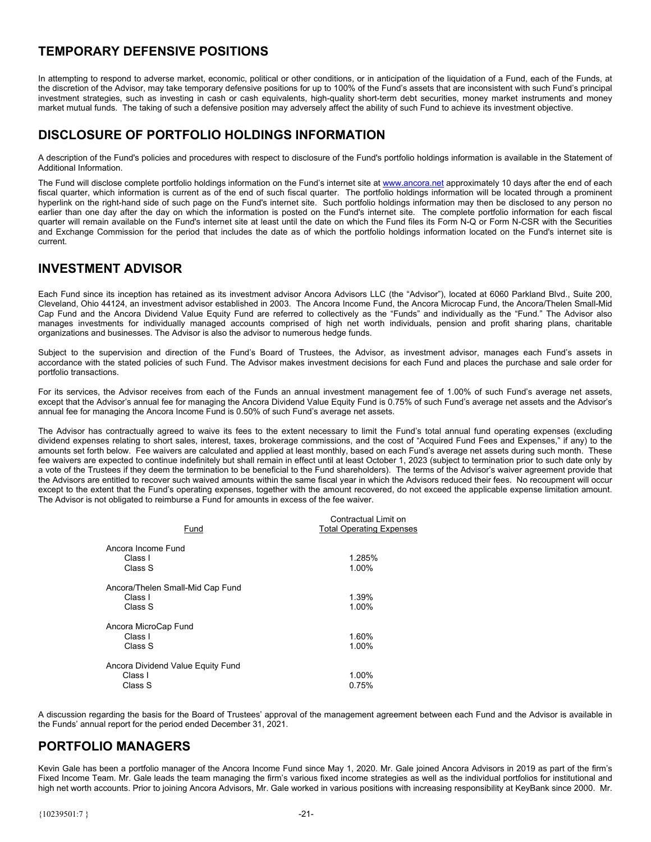# <span id="page-23-0"></span>**TEMPORARY DEFENSIVE POSITIONS**

In attempting to respond to adverse market, economic, political or other conditions, or in anticipation of the liquidation of a Fund, each of the Funds, at the discretion of the Advisor, may take temporary defensive positions for up to 100% of the Fund's assets that are inconsistent with such Fund's principal investment strategies, such as investing in cash or cash equivalents, high-quality short-term debt securities, money market instruments and money market mutual funds. The taking of such a defensive position may adversely affect the ability of such Fund to achieve its investment objective.

# **DISCLOSURE OF PORTFOLIO HOLDINGS INFORMATION**

A description of the Fund's policies and procedures with respect to disclosure of the Fund's portfolio holdings information is available in the Statement of Additional Information.

The Fund will disclose complete portfolio holdings information on the Fund's internet site at www.ancora.net approximately 10 days after the end of each fiscal quarter, which information is current as of the end of such fiscal quarter. The portfolio holdings information will be located through a prominent hyperlink on the right-hand side of such page on the Fund's internet site. Such portfolio holdings information may then be disclosed to any person no earlier than one day after the day on which the information is posted on the Fund's internet site. The complete portfolio information for each fiscal quarter will remain available on the Fund's internet site at least until the date on which the Fund files its Form N-Q or Form N-CSR with the Securities and Exchange Commission for the period that includes the date as of which the portfolio holdings information located on the Fund's internet site is current.

# **INVESTMENT ADVISOR**

Each Fund since its inception has retained as its investment advisor Ancora Advisors LLC (the "Advisor"), located at 6060 Parkland Blvd., Suite 200, Cleveland, Ohio 44124, an investment advisor established in 2003. The Ancora Income Fund, the Ancora Microcap Fund, the Ancora/Thelen Small-Mid Cap Fund and the Ancora Dividend Value Equity Fund are referred to collectively as the "Funds" and individually as the "Fund." The Advisor also manages investments for individually managed accounts comprised of high net worth individuals, pension and profit sharing plans, charitable organizations and businesses. The Advisor is also the advisor to numerous hedge funds.

Subject to the supervision and direction of the Fund's Board of Trustees, the Advisor, as investment advisor, manages each Fund's assets in accordance with the stated policies of such Fund. The Advisor makes investment decisions for each Fund and places the purchase and sale order for portfolio transactions.

For its services, the Advisor receives from each of the Funds an annual investment management fee of 1.00% of such Fund's average net assets, except that the Advisor's annual fee for managing the Ancora Dividend Value Equity Fund is 0.75% of such Fund's average net assets and the Advisor's annual fee for managing the Ancora Income Fund is 0.50% of such Fund's average net assets.

The Advisor has contractually agreed to waive its fees to the extent necessary to limit the Fund's total annual fund operating expenses (excluding dividend expenses relating to short sales, interest, taxes, brokerage commissions, and the cost of "Acquired Fund Fees and Expenses," if any) to the amounts set forth below. Fee waivers are calculated and applied at least monthly, based on each Fund's average net assets during such month. These fee waivers are expected to continue indefinitely but shall remain in effect until at least October 1, 2023 (subject to termination prior to such date only by a vote of the Trustees if they deem the termination to be beneficial to the Fund shareholders). The terms of the Advisor's waiver agreement provide that the Advisors are entitled to recover such waived amounts within the same fiscal year in which the Advisors reduced their fees. No recoupment will occur except to the extent that the Fund's operating expenses, together with the amount recovered, do not exceed the applicable expense limitation amount. The Advisor is not obligated to reimburse a Fund for amounts in excess of the fee waiver.

| Fund                                                    | Contractual Limit on<br><b>Total Operating Expenses</b> |
|---------------------------------------------------------|---------------------------------------------------------|
| Ancora Income Fund<br>Class I<br>Class S                | 1.285%<br>1.00%                                         |
| Ancora/Thelen Small-Mid Cap Fund<br>Class I<br>Class S  | 1.39%<br>1.00%                                          |
| Ancora MicroCap Fund<br>Class I<br>Class S              | 1.60%<br>1.00%                                          |
| Ancora Dividend Value Equity Fund<br>Class I<br>Class S | 1.00%<br>0.75%                                          |

A discussion regarding the basis for the Board of Trustees' approval of the management agreement between each Fund and the Advisor is available in the Funds' annual report for the period ended December 31, 2021.

# **PORTFOLIO MANAGERS**

Kevin Gale has been a portfolio manager of the Ancora Income Fund since May 1, 2020. Mr. Gale joined Ancora Advisors in 2019 as part of the firm's Fixed Income Team. Mr. Gale leads the team managing the firm's various fixed income strategies as well as the individual portfolios for institutional and high net worth accounts. Prior to joining Ancora Advisors, Mr. Gale worked in various positions with increasing responsibility at KeyBank since 2000. Mr.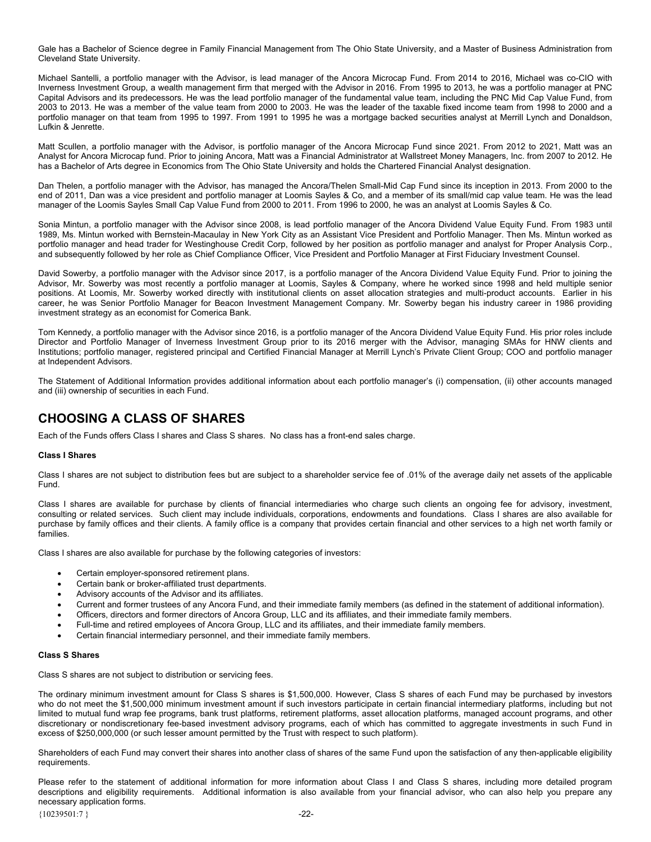<span id="page-24-0"></span>Gale has a Bachelor of Science degree in Family Financial Management from The Ohio State University, and a Master of Business Administration from Cleveland State University.

Michael Santelli, a portfolio manager with the Advisor, is lead manager of the Ancora Microcap Fund. From 2014 to 2016, Michael was co-CIO with Inverness Investment Group, a wealth management firm that merged with the Advisor in 2016. From 1995 to 2013, he was a portfolio manager at PNC Capital Advisors and its predecessors. He was the lead portfolio manager of the fundamental value team, including the PNC Mid Cap Value Fund, from 2003 to 2013. He was a member of the value team from 2000 to 2003. He was the leader of the taxable fixed income team from 1998 to 2000 and a portfolio manager on that team from 1995 to 1997. From 1991 to 1995 he was a mortgage backed securities analyst at Merrill Lynch and Donaldson, Lufkin & Jenrette.

Matt Scullen, a portfolio manager with the Advisor, is portfolio manager of the Ancora Microcap Fund since 2021. From 2012 to 2021, Matt was an Analyst for Ancora Microcap fund. Prior to joining Ancora, Matt was a Financial Administrator at Wallstreet Money Managers, Inc. from 2007 to 2012. He has a Bachelor of Arts degree in Economics from The Ohio State University and holds the Chartered Financial Analyst designation.

Dan Thelen, a portfolio manager with the Advisor, has managed the Ancora/Thelen Small-Mid Cap Fund since its inception in 2013. From 2000 to the end of 2011, Dan was a vice president and portfolio manager at Loomis Sayles & Co, and a member of its small/mid cap value team. He was the lead manager of the Loomis Sayles Small Cap Value Fund from 2000 to 2011. From 1996 to 2000, he was an analyst at Loomis Sayles & Co.

Sonia Mintun, a portfolio manager with the Advisor since 2008, is lead portfolio manager of the Ancora Dividend Value Equity Fund. From 1983 until 1989, Ms. Mintun worked with Bernstein-Macaulay in New York City as an Assistant Vice President and Portfolio Manager. Then Ms. Mintun worked as portfolio manager and head trader for Westinghouse Credit Corp, followed by her position as portfolio manager and analyst for Proper Analysis Corp., and subsequently followed by her role as Chief Compliance Officer, Vice President and Portfolio Manager at First Fiduciary Investment Counsel.

David Sowerby, a portfolio manager with the Advisor since 2017, is a portfolio manager of the Ancora Dividend Value Equity Fund. Prior to joining the Advisor, Mr. Sowerby was most recently a portfolio manager at Loomis, Sayles & Company, where he worked since 1998 and held multiple senior positions. At Loomis, Mr. Sowerby worked directly with institutional clients on asset allocation strategies and multi-product accounts. Earlier in his career, he was Senior Portfolio Manager for Beacon Investment Management Company. Mr. Sowerby began his industry career in 1986 providing investment strategy as an economist for Comerica Bank.

Tom Kennedy, a portfolio manager with the Advisor since 2016, is a portfolio manager of the Ancora Dividend Value Equity Fund. His prior roles include Director and Portfolio Manager of Inverness Investment Group prior to its 2016 merger with the Advisor, managing SMAs for HNW clients and Institutions; portfolio manager, registered principal and Certified Financial Manager at Merrill Lynch's Private Client Group; COO and portfolio manager at Independent Advisors.

The Statement of Additional Information provides additional information about each portfolio manager's (i) compensation, (ii) other accounts managed and (iii) ownership of securities in each Fund.

# **CHOOSING A CLASS OF SHARES**

Each of the Funds offers Class I shares and Class S shares. No class has a front-end sales charge.

### **Class I Shares**

Class I shares are not subject to distribution fees but are subject to a shareholder service fee of .01% of the average daily net assets of the applicable Fund.

Class I shares are available for purchase by clients of financial intermediaries who charge such clients an ongoing fee for advisory, investment, consulting or related services. Such client may include individuals, corporations, endowments and foundations. Class I shares are also available for purchase by family offices and their clients. A family office is a company that provides certain financial and other services to a high net worth family or families.

Class I shares are also available for purchase by the following categories of investors:

- Certain employer-sponsored retirement plans.
- Certain bank or broker-affiliated trust departments.
- Advisory accounts of the Advisor and its affiliates.
- Current and former trustees of any Ancora Fund, and their immediate family members (as defined in the statement of additional information).
- Officers, directors and former directors of Ancora Group, LLC and its affiliates, and their immediate family members.
- Full-time and retired employees of Ancora Group, LLC and its affiliates, and their immediate family members.
- Certain financial intermediary personnel, and their immediate family members.

#### **Class S Shares**

Class S shares are not subject to distribution or servicing fees.

The ordinary minimum investment amount for Class S shares is \$1,500,000. However, Class S shares of each Fund may be purchased by investors who do not meet the \$1,500,000 minimum investment amount if such investors participate in certain financial intermediary platforms, including but not limited to mutual fund wrap fee programs, bank trust platforms, retirement platforms, asset allocation platforms, managed account programs, and other discretionary or nondiscretionary fee-based investment advisory programs, each of which has committed to aggregate investments in such Fund in excess of \$250,000,000 (or such lesser amount permitted by the Trust with respect to such platform).

Shareholders of each Fund may convert their shares into another class of shares of the same Fund upon the satisfaction of any then-applicable eligibility requirements.

Please refer to the statement of additional information for more information about Class I and Class S shares, including more detailed program descriptions and eligibility requirements. Additional information is also available from your financial advisor, who can also help you prepare any necessary application forms.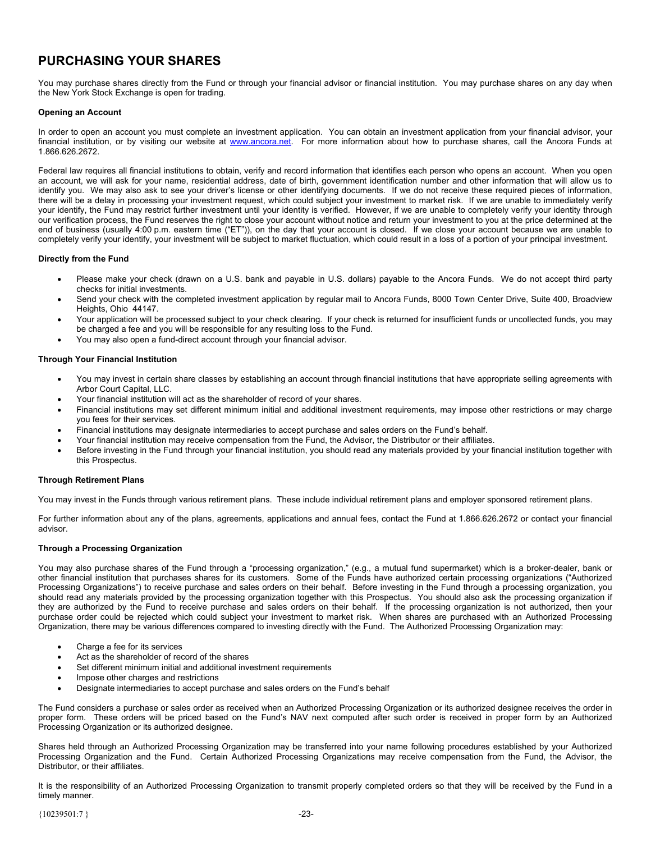# <span id="page-25-0"></span>**PURCHASING YOUR SHARES**

You may purchase shares directly from the Fund or through your financial advisor or financial institution. You may purchase shares on any day when the New York Stock Exchange is open for trading.

### **Opening an Account**

In order to open an account you must complete an investment application. You can obtain an investment application from your financial advisor, your financial institution, or by visiting our website at www.ancora.net. For more information about how to purchase shares, call the Ancora Funds at 1.866.626.2672.

Federal law requires all financial institutions to obtain, verify and record information that identifies each person who opens an account. When you open an account, we will ask for your name, residential address, date of birth, government identification number and other information that will allow us to identify you. We may also ask to see your driver's license or other identifying documents. If we do not receive these required pieces of information, there will be a delay in processing your investment request, which could subject your investment to market risk. If we are unable to immediately verify your identify, the Fund may restrict further investment until your identity is verified. However, if we are unable to completely verify your identity through our verification process, the Fund reserves the right to close your account without notice and return your investment to you at the price determined at the end of business (usually 4:00 p.m. eastern time ("ET")), on the day that your account is closed. If we close your account because we are unable to completely verify your identify, your investment will be subject to market fluctuation, which could result in a loss of a portion of your principal investment.

### **Directly from the Fund**

- Please make your check (drawn on a U.S. bank and payable in U.S. dollars) payable to the Ancora Funds. We do not accept third party checks for initial investments.
- Send your check with the completed investment application by regular mail to Ancora Funds, 8000 Town Center Drive, Suite 400, Broadview Heights, Ohio 44147.
- Your application will be processed subject to your check clearing. If your check is returned for insufficient funds or uncollected funds, you may be charged a fee and you will be responsible for any resulting loss to the Fund.
- You may also open a fund-direct account through your financial advisor.

### **Through Your Financial Institution**

- You may invest in certain share classes by establishing an account through financial institutions that have appropriate selling agreements with Arbor Court Capital, LLC.
- Your financial institution will act as the shareholder of record of your shares.
- Financial institutions may set different minimum initial and additional investment requirements, may impose other restrictions or may charge you fees for their services.
- Financial institutions may designate intermediaries to accept purchase and sales orders on the Fund's behalf.
- Your financial institution may receive compensation from the Fund, the Advisor, the Distributor or their affiliates.
- Before investing in the Fund through your financial institution, you should read any materials provided by your financial institution together with this Prospectus.

### **Through Retirement Plans**

You may invest in the Funds through various retirement plans. These include individual retirement plans and employer sponsored retirement plans.

For further information about any of the plans, agreements, applications and annual fees, contact the Fund at 1.866.626.2672 or contact your financial advisor.

### **Through a Processing Organization**

You may also purchase shares of the Fund through a "processing organization," (e.g., a mutual fund supermarket) which is a broker-dealer, bank or other financial institution that purchases shares for its customers. Some of the Funds have authorized certain processing organizations ("Authorized Processing Organizations") to receive purchase and sales orders on their behalf. Before investing in the Fund through a processing organization, you should read any materials provided by the processing organization together with this Prospectus. You should also ask the processing organization if they are authorized by the Fund to receive purchase and sales orders on their behalf. If the processing organization is not authorized, then your purchase order could be rejected which could subject your investment to market risk. When shares are purchased with an Authorized Processing Organization, there may be various differences compared to investing directly with the Fund. The Authorized Processing Organization may:

- Charge a fee for its services
- Act as the shareholder of record of the shares
- Set different minimum initial and additional investment requirements
- Impose other charges and restrictions
- Designate intermediaries to accept purchase and sales orders on the Fund's behalf

The Fund considers a purchase or sales order as received when an Authorized Processing Organization or its authorized designee receives the order in proper form. These orders will be priced based on the Fund's NAV next computed after such order is received in proper form by an Authorized Processing Organization or its authorized designee.

Shares held through an Authorized Processing Organization may be transferred into your name following procedures established by your Authorized Processing Organization and the Fund. Certain Authorized Processing Organizations may receive compensation from the Fund, the Advisor, the Distributor, or their affiliates.

It is the responsibility of an Authorized Processing Organization to transmit properly completed orders so that they will be received by the Fund in a timely manner.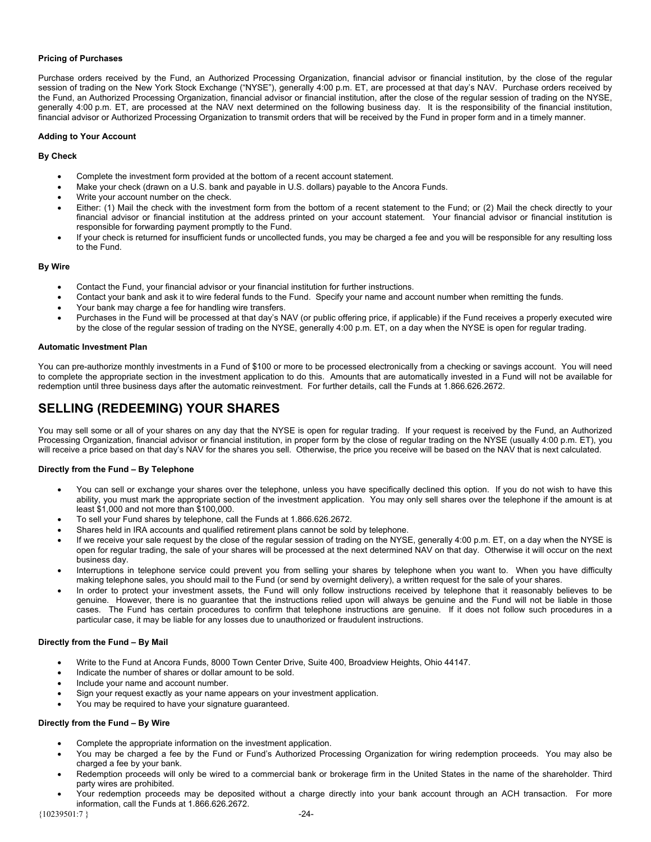### <span id="page-26-0"></span>**Pricing of Purchases**

Purchase orders received by the Fund, an Authorized Processing Organization, financial advisor or financial institution, by the close of the regular session of trading on the New York Stock Exchange ("NYSE"), generally 4:00 p.m. ET, are processed at that day's NAV. Purchase orders received by the Fund, an Authorized Processing Organization, financial advisor or financial institution, after the close of the regular session of trading on the NYSE, generally 4:00 p.m. ET, are processed at the NAV next determined on the following business day. It is the responsibility of the financial institution, financial advisor or Authorized Processing Organization to transmit orders that will be received by the Fund in proper form and in a timely manner.

#### **Adding to Your Account**

#### **By Check**

- Complete the investment form provided at the bottom of a recent account statement.
- Make your check (drawn on a U.S. bank and payable in U.S. dollars) payable to the Ancora Funds.
- Write your account number on the check.
- Either: (1) Mail the check with the investment form from the bottom of a recent statement to the Fund; or (2) Mail the check directly to your financial advisor or financial institution at the address printed on your account statement. Your financial advisor or financial institution is responsible for forwarding payment promptly to the Fund.
- If your check is returned for insufficient funds or uncollected funds, you may be charged a fee and you will be responsible for any resulting loss to the Fund.

#### **By Wire**

- Contact the Fund, your financial advisor or your financial institution for further instructions.
- Contact your bank and ask it to wire federal funds to the Fund. Specify your name and account number when remitting the funds.
- Your bank may charge a fee for handling wire transfers.
- Purchases in the Fund will be processed at that day's NAV (or public offering price, if applicable) if the Fund receives a properly executed wire by the close of the regular session of trading on the NYSE, generally 4:00 p.m. ET, on a day when the NYSE is open for regular trading.

#### **Automatic Investment Plan**

You can pre-authorize monthly investments in a Fund of \$100 or more to be processed electronically from a checking or savings account. You will need to complete the appropriate section in the investment application to do this. Amounts that are automatically invested in a Fund will not be available for redemption until three business days after the automatic reinvestment. For further details, call the Funds at 1.866.626.2672.

# **SELLING (REDEEMING) YOUR SHARES**

You may sell some or all of your shares on any day that the NYSE is open for regular trading. If your request is received by the Fund, an Authorized Processing Organization, financial advisor or financial institution, in proper form by the close of regular trading on the NYSE (usually 4:00 p.m. ET), you will receive a price based on that day's NAV for the shares you sell. Otherwise, the price you receive will be based on the NAV that is next calculated.

### **Directly from the Fund – By Telephone**

- You can sell or exchange your shares over the telephone, unless you have specifically declined this option. If you do not wish to have this ability, you must mark the appropriate section of the investment application. You may only sell shares over the telephone if the amount is at least \$1,000 and not more than \$100,000.
- To sell your Fund shares by telephone, call the Funds at 1.866.626.2672.
- Shares held in IRA accounts and qualified retirement plans cannot be sold by telephone.
- If we receive your sale request by the close of the regular session of trading on the NYSE, generally 4:00 p.m. ET, on a day when the NYSE is open for regular trading, the sale of your shares will be processed at the next determined NAV on that day. Otherwise it will occur on the next business day.
- Interruptions in telephone service could prevent you from selling your shares by telephone when you want to. When you have difficulty making telephone sales, you should mail to the Fund (or send by overnight delivery), a written request for the sale of your shares.
- In order to protect your investment assets, the Fund will only follow instructions received by telephone that it reasonably believes to be genuine. However, there is no guarantee that the instructions relied upon will always be genuine and the Fund will not be liable in those cases. The Fund has certain procedures to confirm that telephone instructions are genuine. If it does not follow such procedures in a particular case, it may be liable for any losses due to unauthorized or fraudulent instructions.

### **Directly from the Fund – By Mail**

- Write to the Fund at Ancora Funds, 8000 Town Center Drive, Suite 400, Broadview Heights, Ohio 44147.
- Indicate the number of shares or dollar amount to be sold.
- Include your name and account number.
- Sign your request exactly as your name appears on your investment application.
- You may be required to have your signature guaranteed.

### **Directly from the Fund – By Wire**

- Complete the appropriate information on the investment application.
- You may be charged a fee by the Fund or Fund's Authorized Processing Organization for wiring redemption proceeds. You may also be charged a fee by your bank.
- Redemption proceeds will only be wired to a commercial bank or brokerage firm in the United States in the name of the shareholder. Third party wires are prohibited.
- Your redemption proceeds may be deposited without a charge directly into your bank account through an ACH transaction. For more information, call the Funds at 1.866.626.2672.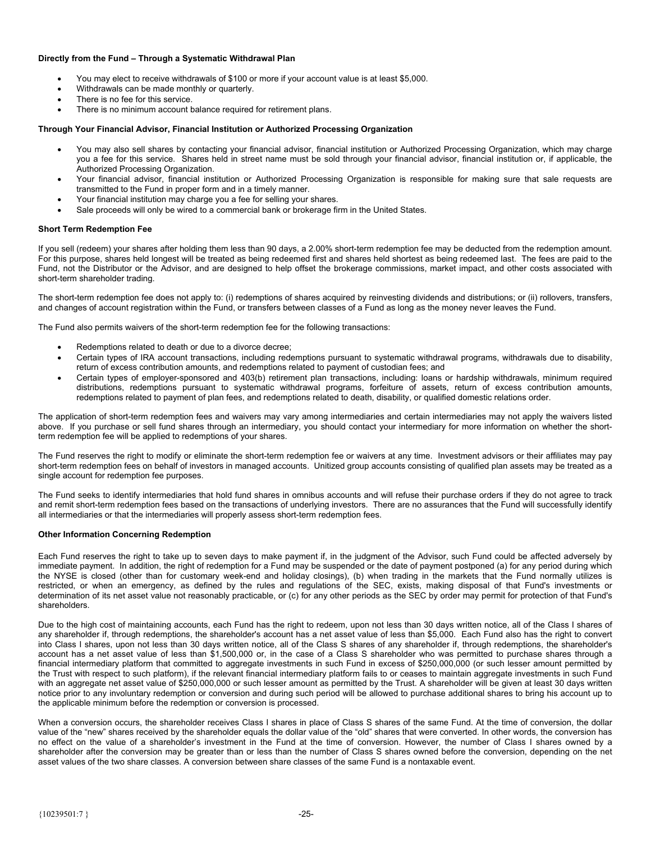### **Directly from the Fund – Through a Systematic Withdrawal Plan**

- You may elect to receive withdrawals of \$100 or more if your account value is at least \$5,000.
- Withdrawals can be made monthly or quarterly.
- There is no fee for this service.
- There is no minimum account balance required for retirement plans.

#### **Through Your Financial Advisor, Financial Institution or Authorized Processing Organization**

- You may also sell shares by contacting your financial advisor, financial institution or Authorized Processing Organization, which may charge you a fee for this service. Shares held in street name must be sold through your financial advisor, financial institution or, if applicable, the Authorized Processing Organization.
- Your financial advisor, financial institution or Authorized Processing Organization is responsible for making sure that sale requests are transmitted to the Fund in proper form and in a timely manner.
- Your financial institution may charge you a fee for selling your shares.
- Sale proceeds will only be wired to a commercial bank or brokerage firm in the United States.

#### **Short Term Redemption Fee**

If you sell (redeem) your shares after holding them less than 90 days, a 2.00% short-term redemption fee may be deducted from the redemption amount. For this purpose, shares held longest will be treated as being redeemed first and shares held shortest as being redeemed last. The fees are paid to the Fund, not the Distributor or the Advisor, and are designed to help offset the brokerage commissions, market impact, and other costs associated with short-term shareholder trading.

The short-term redemption fee does not apply to: (i) redemptions of shares acquired by reinvesting dividends and distributions; or (ii) rollovers, transfers, and changes of account registration within the Fund, or transfers between classes of a Fund as long as the money never leaves the Fund.

The Fund also permits waivers of the short-term redemption fee for the following transactions:

- Redemptions related to death or due to a divorce decree;
- Certain types of IRA account transactions, including redemptions pursuant to systematic withdrawal programs, withdrawals due to disability, return of excess contribution amounts, and redemptions related to payment of custodian fees; and
- Certain types of employer-sponsored and 403(b) retirement plan transactions, including: loans or hardship withdrawals, minimum required distributions, redemptions pursuant to systematic withdrawal programs, forfeiture of assets, return of excess contribution amounts, redemptions related to payment of plan fees, and redemptions related to death, disability, or qualified domestic relations order.

The application of short-term redemption fees and waivers may vary among intermediaries and certain intermediaries may not apply the waivers listed above. If you purchase or sell fund shares through an intermediary, you should contact your intermediary for more information on whether the shortterm redemption fee will be applied to redemptions of your shares.

The Fund reserves the right to modify or eliminate the short-term redemption fee or waivers at any time. Investment advisors or their affiliates may pay short-term redemption fees on behalf of investors in managed accounts. Unitized group accounts consisting of qualified plan assets may be treated as a single account for redemption fee purposes.

The Fund seeks to identify intermediaries that hold fund shares in omnibus accounts and will refuse their purchase orders if they do not agree to track and remit short-term redemption fees based on the transactions of underlying investors. There are no assurances that the Fund will successfully identify all intermediaries or that the intermediaries will properly assess short-term redemption fees.

#### **Other Information Concerning Redemption**

Each Fund reserves the right to take up to seven days to make payment if, in the judgment of the Advisor, such Fund could be affected adversely by immediate payment. In addition, the right of redemption for a Fund may be suspended or the date of payment postponed (a) for any period during which the NYSE is closed (other than for customary week-end and holiday closings), (b) when trading in the markets that the Fund normally utilizes is restricted, or when an emergency, as defined by the rules and regulations of the SEC, exists, making disposal of that Fund's investments or determination of its net asset value not reasonably practicable, or (c) for any other periods as the SEC by order may permit for protection of that Fund's shareholders.

Due to the high cost of maintaining accounts, each Fund has the right to redeem, upon not less than 30 days written notice, all of the Class I shares of any shareholder if, through redemptions, the shareholder's account has a net asset value of less than \$5,000. Each Fund also has the right to convert into Class I shares, upon not less than 30 days written notice, all of the Class S shares of any shareholder if, through redemptions, the shareholder's account has a net asset value of less than \$1,500,000 or, in the case of a Class S shareholder who was permitted to purchase shares through a financial intermediary platform that committed to aggregate investments in such Fund in excess of \$250,000,000 (or such lesser amount permitted by the Trust with respect to such platform), if the relevant financial intermediary platform fails to or ceases to maintain aggregate investments in such Fund with an aggregate net asset value of \$250,000,000 or such lesser amount as permitted by the Trust. A shareholder will be given at least 30 days written notice prior to any involuntary redemption or conversion and during such period will be allowed to purchase additional shares to bring his account up to the applicable minimum before the redemption or conversion is processed.

When a conversion occurs, the shareholder receives Class I shares in place of Class S shares of the same Fund. At the time of conversion, the dollar value of the "new" shares received by the shareholder equals the dollar value of the "old" shares that were converted. In other words, the conversion has no effect on the value of a shareholder's investment in the Fund at the time of conversion. However, the number of Class I shares owned by a shareholder after the conversion may be greater than or less than the number of Class S shares owned before the conversion, depending on the net asset values of the two share classes. A conversion between share classes of the same Fund is a nontaxable event.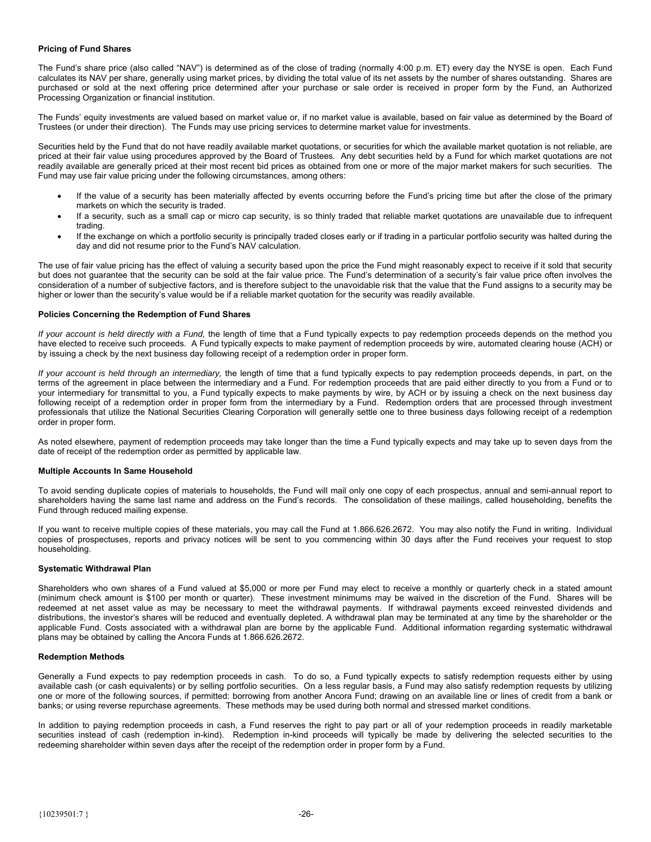#### **Pricing of Fund Shares**

The Fund's share price (also called "NAV") is determined as of the close of trading (normally 4:00 p.m. ET) every day the NYSE is open. Each Fund calculates its NAV per share, generally using market prices, by dividing the total value of its net assets by the number of shares outstanding. Shares are purchased or sold at the next offering price determined after your purchase or sale order is received in proper form by the Fund, an Authorized Processing Organization or financial institution.

The Funds' equity investments are valued based on market value or, if no market value is available, based on fair value as determined by the Board of Trustees (or under their direction). The Funds may use pricing services to determine market value for investments.

Securities held by the Fund that do not have readily available market quotations, or securities for which the available market quotation is not reliable, are priced at their fair value using procedures approved by the Board of Trustees. Any debt securities held by a Fund for which market quotations are not readily available are generally priced at their most recent bid prices as obtained from one or more of the major market makers for such securities. The Fund may use fair value pricing under the following circumstances, among others:

- If the value of a security has been materially affected by events occurring before the Fund's pricing time but after the close of the primary markets on which the security is traded.
- If a security, such as a small cap or micro cap security, is so thinly traded that reliable market quotations are unavailable due to infrequent trading.
- If the exchange on which a portfolio security is principally traded closes early or if trading in a particular portfolio security was halted during the day and did not resume prior to the Fund's NAV calculation.

The use of fair value pricing has the effect of valuing a security based upon the price the Fund might reasonably expect to receive if it sold that security but does not guarantee that the security can be sold at the fair value price. The Fund's determination of a security's fair value price often involves the consideration of a number of subjective factors, and is therefore subject to the unavoidable risk that the value that the Fund assigns to a security may be higher or lower than the security's value would be if a reliable market quotation for the security was readily available.

#### **Policies Concerning the Redemption of Fund Shares**

*If your account is held directly with a Fund,* the length of time that a Fund typically expects to pay redemption proceeds depends on the method you have elected to receive such proceeds. A Fund typically expects to make payment of redemption proceeds by wire, automated clearing house (ACH) or by issuing a check by the next business day following receipt of a redemption order in proper form.

*If your account is held through an intermediary,* the length of time that a fund typically expects to pay redemption proceeds depends, in part, on the terms of the agreement in place between the intermediary and a Fund. For redemption proceeds that are paid either directly to you from a Fund or to your intermediary for transmittal to you, a Fund typically expects to make payments by wire, by ACH or by issuing a check on the next business day following receipt of a redemption order in proper form from the intermediary by a Fund. Redemption orders that are processed through investment professionals that utilize the National Securities Clearing Corporation will generally settle one to three business days following receipt of a redemption order in proper form.

As noted elsewhere, payment of redemption proceeds may take longer than the time a Fund typically expects and may take up to seven days from the date of receipt of the redemption order as permitted by applicable law.

### **Multiple Accounts In Same Household**

To avoid sending duplicate copies of materials to households, the Fund will mail only one copy of each prospectus, annual and semi-annual report to shareholders having the same last name and address on the Fund's records. The consolidation of these mailings, called householding, benefits the Fund through reduced mailing expense.

If you want to receive multiple copies of these materials, you may call the Fund at 1.866.626.2672. You may also notify the Fund in writing. Individual copies of prospectuses, reports and privacy notices will be sent to you commencing within 30 days after the Fund receives your request to stop householding.

#### **Systematic Withdrawal Plan**

Shareholders who own shares of a Fund valued at \$5,000 or more per Fund may elect to receive a monthly or quarterly check in a stated amount (minimum check amount is \$100 per month or quarter). These investment minimums may be waived in the discretion of the Fund. Shares will be redeemed at net asset value as may be necessary to meet the withdrawal payments. If withdrawal payments exceed reinvested dividends and distributions, the investor's shares will be reduced and eventually depleted. A withdrawal plan may be terminated at any time by the shareholder or the applicable Fund. Costs associated with a withdrawal plan are borne by the applicable Fund. Additional information regarding systematic withdrawal plans may be obtained by calling the Ancora Funds at 1.866.626.2672.

#### **Redemption Methods**

Generally a Fund expects to pay redemption proceeds in cash. To do so, a Fund typically expects to satisfy redemption requests either by using available cash (or cash equivalents) or by selling portfolio securities. On a less regular basis, a Fund may also satisfy redemption requests by utilizing one or more of the following sources, if permitted: borrowing from another Ancora Fund; drawing on an available line or lines of credit from a bank or banks; or using reverse repurchase agreements. These methods may be used during both normal and stressed market conditions.

In addition to paying redemption proceeds in cash, a Fund reserves the right to pay part or all of your redemption proceeds in readily marketable securities instead of cash (redemption in-kind). Redemption in-kind proceeds will typically be made by delivering the selected securities to the redeeming shareholder within seven days after the receipt of the redemption order in proper form by a Fund.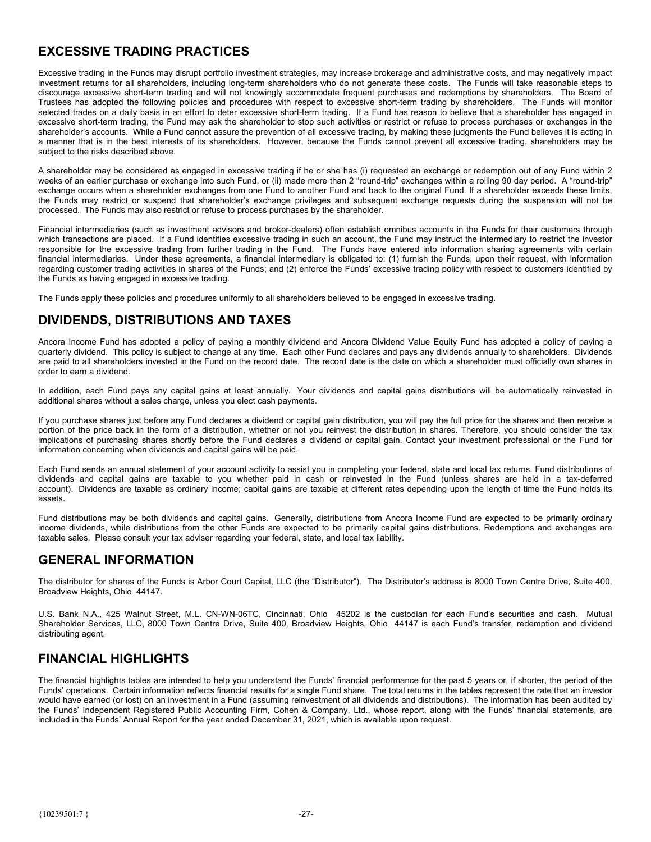# <span id="page-29-0"></span>**EXCESSIVE TRADING PRACTICES**

Excessive trading in the Funds may disrupt portfolio investment strategies, may increase brokerage and administrative costs, and may negatively impact investment returns for all shareholders, including long-term shareholders who do not generate these costs. The Funds will take reasonable steps to discourage excessive short-term trading and will not knowingly accommodate frequent purchases and redemptions by shareholders. The Board of Trustees has adopted the following policies and procedures with respect to excessive short-term trading by shareholders. The Funds will monitor selected trades on a daily basis in an effort to deter excessive short-term trading. If a Fund has reason to believe that a shareholder has engaged in excessive short-term trading, the Fund may ask the shareholder to stop such activities or restrict or refuse to process purchases or exchanges in the shareholder's accounts. While a Fund cannot assure the prevention of all excessive trading, by making these judgments the Fund believes it is acting in a manner that is in the best interests of its shareholders. However, because the Funds cannot prevent all excessive trading, shareholders may be subject to the risks described above.

A shareholder may be considered as engaged in excessive trading if he or she has (i) requested an exchange or redemption out of any Fund within 2 weeks of an earlier purchase or exchange into such Fund, or (ii) made more than 2 "round-trip" exchanges within a rolling 90 day period. A "round-trip" exchange occurs when a shareholder exchanges from one Fund to another Fund and back to the original Fund. If a shareholder exceeds these limits, the Funds may restrict or suspend that shareholder's exchange privileges and subsequent exchange requests during the suspension will not be processed. The Funds may also restrict or refuse to process purchases by the shareholder.

Financial intermediaries (such as investment advisors and broker-dealers) often establish omnibus accounts in the Funds for their customers through which transactions are placed. If a Fund identifies excessive trading in such an account, the Fund may instruct the intermediary to restrict the investor responsible for the excessive trading from further trading in the Fund. The Funds have entered into information sharing agreements with certain financial intermediaries. Under these agreements, a financial intermediary is obligated to: (1) furnish the Funds, upon their request, with information regarding customer trading activities in shares of the Funds; and (2) enforce the Funds' excessive trading policy with respect to customers identified by the Funds as having engaged in excessive trading.

The Funds apply these policies and procedures uniformly to all shareholders believed to be engaged in excessive trading.

# **DIVIDENDS, DISTRIBUTIONS AND TAXES**

Ancora Income Fund has adopted a policy of paying a monthly dividend and Ancora Dividend Value Equity Fund has adopted a policy of paying a quarterly dividend. This policy is subject to change at any time. Each other Fund declares and pays any dividends annually to shareholders. Dividends are paid to all shareholders invested in the Fund on the record date. The record date is the date on which a shareholder must officially own shares in order to earn a dividend.

In addition, each Fund pays any capital gains at least annually. Your dividends and capital gains distributions will be automatically reinvested in additional shares without a sales charge, unless you elect cash payments.

If you purchase shares just before any Fund declares a dividend or capital gain distribution, you will pay the full price for the shares and then receive a portion of the price back in the form of a distribution, whether or not you reinvest the distribution in shares. Therefore, you should consider the tax implications of purchasing shares shortly before the Fund declares a dividend or capital gain. Contact your investment professional or the Fund for information concerning when dividends and capital gains will be paid.

Each Fund sends an annual statement of your account activity to assist you in completing your federal, state and local tax returns. Fund distributions of dividends and capital gains are taxable to you whether paid in cash or reinvested in the Fund (unless shares are held in a tax-deferred account). Dividends are taxable as ordinary income; capital gains are taxable at different rates depending upon the length of time the Fund holds its assets.

Fund distributions may be both dividends and capital gains. Generally, distributions from Ancora Income Fund are expected to be primarily ordinary income dividends, while distributions from the other Funds are expected to be primarily capital gains distributions. Redemptions and exchanges are taxable sales. Please consult your tax adviser regarding your federal, state, and local tax liability.

# **GENERAL INFORMATION**

The distributor for shares of the Funds is Arbor Court Capital, LLC (the "Distributor"). The Distributor's address is 8000 Town Centre Drive, Suite 400, Broadview Heights, Ohio 44147.

U.S. Bank N.A., 425 Walnut Street, M.L. CN-WN-06TC, Cincinnati, Ohio 45202 is the custodian for each Fund's securities and cash. Mutual Shareholder Services, LLC, 8000 Town Centre Drive, Suite 400, Broadview Heights, Ohio 44147 is each Fund's transfer, redemption and dividend distributing agent.

# **FINANCIAL HIGHLIGHTS**

The financial highlights tables are intended to help you understand the Funds' financial performance for the past 5 years or, if shorter, the period of the Funds' operations. Certain information reflects financial results for a single Fund share. The total returns in the tables represent the rate that an investor would have earned (or lost) on an investment in a Fund (assuming reinvestment of all dividends and distributions). The information has been audited by the Funds' Independent Registered Public Accounting Firm, Cohen & Company, Ltd., whose report, along with the Funds' financial statements, are included in the Funds' Annual Report for the year ended December 31, 2021, which is available upon request.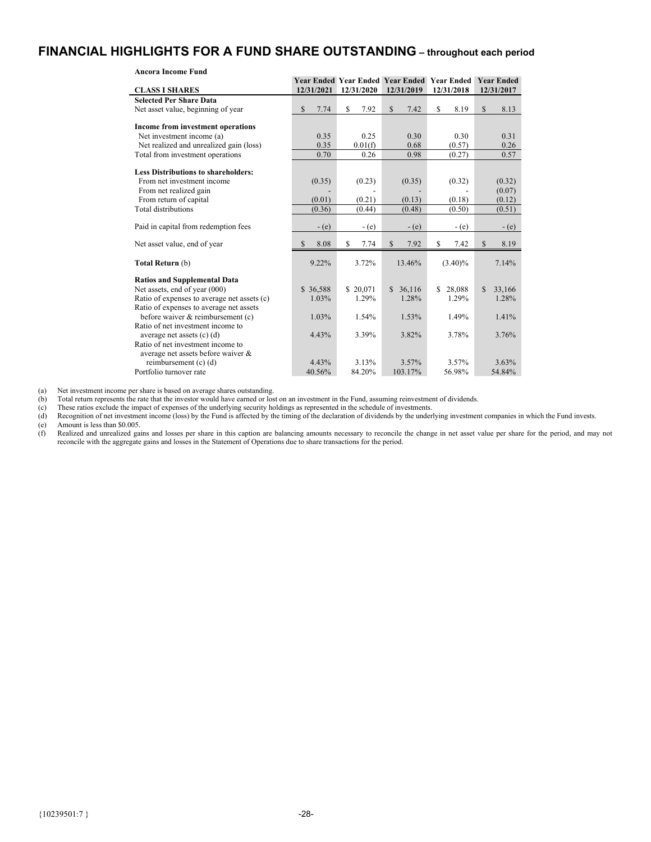# <span id="page-30-0"></span>**FINANCIAL HIGHLIGHTS FOR A FUND SHARE OUTSTANDING – throughout each period**

| <b>Ancora Income Fund</b>                   |            |            |                                                    |              |                        |
|---------------------------------------------|------------|------------|----------------------------------------------------|--------------|------------------------|
|                                             |            |            | <b>Year Ended Year Ended Year Ended Year Ended</b> |              | <b>Year Ended</b>      |
| <b>CLASS I SHARES</b>                       | 12/31/2021 | 12/31/2020 | 12/31/2019                                         | 12/31/2018   | 12/31/2017             |
| <b>Selected Per Share Data</b>              |            |            |                                                    |              |                        |
| Net asset value, beginning of year          | \$<br>7.74 | \$<br>7.92 | \$<br>7.42                                         | \$<br>8.19   | \$<br>8.13             |
|                                             |            |            |                                                    |              |                        |
| Income from investment operations           |            |            |                                                    |              |                        |
| Net investment income (a)                   | 0.35       | 0.25       | 0.30                                               | 0.30         | 0.31                   |
| Net realized and unrealized gain (loss)     | 0.35       | 0.01(f)    | 0.68                                               | (0.57)       | 0.26                   |
| Total from investment operations            | 0.70       | 0.26       | 0.98                                               | (0.27)       | 0.57                   |
| <b>Less Distributions to shareholders:</b>  |            |            |                                                    |              |                        |
| From net investment income                  | (0.35)     | (0.23)     | (0.35)                                             | (0.32)       | (0.32)                 |
| From net realized gain                      |            |            |                                                    |              | (0.07)                 |
| From return of capital                      | (0.01)     | (0.21)     | (0.13)                                             | (0.18)       | (0.12)                 |
| Total distributions                         | (0.36)     | (0.44)     | (0.48)                                             | (0.50)       | (0.51)                 |
|                                             |            |            |                                                    |              |                        |
| Paid in capital from redemption fees        | $-$ (e)    | $-(e)$     | $-(e)$                                             | $-(e)$       | $-(e)$                 |
| Net asset value, end of year                | 8.08<br>S  | 7.74<br>\$ | \$<br>7.92                                         | 7.42<br>\$   | $\mathbb{S}$<br>8.19   |
|                                             |            |            |                                                    |              |                        |
| Total Return (b)                            | $9.22\%$   | 3.72%      | 13.46%                                             | $(3.40)\%$   | 7.14%                  |
| <b>Ratios and Supplemental Data</b>         |            |            |                                                    |              |                        |
| Net assets, end of year (000)               | \$36,588   | \$20,071   | \$36,116                                           | 28,088<br>S. | $\mathbb{S}$<br>33,166 |
| Ratio of expenses to average net assets (c) | 1.03%      | 1.29%      | 1.28%                                              | 1.29%        | 1.28%                  |
| Ratio of expenses to average net assets     |            |            |                                                    |              |                        |
| before waiver & reimbursement (c)           | 1.03%      | 1.54%      | 1.53%                                              | 1.49%        | 1.41%                  |
| Ratio of net investment income to           |            |            |                                                    |              |                        |
| average net assets $(c)$ $(d)$              | 4.43%      | 3.39%      | 3.82%                                              | 3.78%        | 3.76%                  |
| Ratio of net investment income to           |            |            |                                                    |              |                        |
| average net assets before waiver &          |            |            |                                                    |              |                        |
| reimbursement (c) (d)                       | 4.43%      | 3.13%      | 3.57%                                              | 3.57%        | 3.63%                  |
| Portfolio turnover rate                     | 40.56%     | 84.20%     | 103.17%                                            | 56.98%       | 54.84%                 |

(b) Total return represents the rate that the investor would have earned or lost on an investment in the Fund, assuming reinvestment of dividends.

(c) These ratios exclude the impact of expenses of the underlying security holdings as represented in the schedule of investments.

(a) Net investment income per share is based on average shares outstanding.<br>
(b) Total return represents the rate that the investor would have earned or los<br>
(c) These ratios exclude the impact of expenses of the underlyin (d) Recognition of net investment income (loss) by the Fund is affected by the timing of the declaration of dividends by the underlying investment companies in which the Fund invests.<br>
(e) Amount is less than \$0.005.<br>
(f) Amount is less than \$0.005.

(f) Realized and unrealized gains and losses per share in this caption are balancing amounts necessary to reconcile the change in net asset value per share for the period, and may not reconcile with the aggregate gains and losses in the Statement of Operations due to share transactions for the period.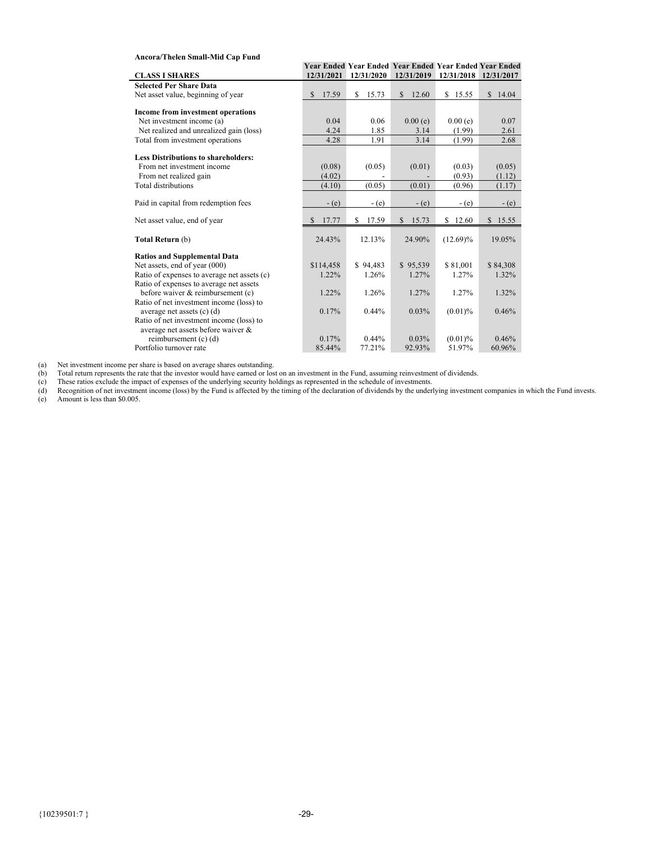### **Ancora/Thelen Small-Mid Cap Fund**

|                                             |                        |             | Year Ended Year Ended Year Ended Year Ended Year Ended |             |                       |
|---------------------------------------------|------------------------|-------------|--------------------------------------------------------|-------------|-----------------------|
| <b>CLASS I SHARES</b>                       | 12/31/2021             | 12/31/2020  | 12/31/2019                                             |             | 12/31/2018 12/31/2017 |
| <b>Selected Per Share Data</b>              |                        |             |                                                        |             |                       |
| Net asset value, beginning of year          | \$<br>17.59            | \$<br>15.73 | 12.60<br>\$                                            | \$15.55     | \$14.04               |
|                                             |                        |             |                                                        |             |                       |
| Income from investment operations           |                        |             |                                                        |             |                       |
| Net investment income (a)                   | 0.04                   | 0.06        | 0.00(e)                                                | 0.00(e)     | 0.07                  |
| Net realized and unrealized gain (loss)     | 4.24                   | 1.85        | 3.14                                                   | (1.99)      | 2.61                  |
| Total from investment operations            | 4.28                   | 1.91        | 3.14                                                   | (1.99)      | 2.68                  |
|                                             |                        |             |                                                        |             |                       |
| <b>Less Distributions to shareholders:</b>  |                        |             |                                                        |             |                       |
| From net investment income                  | (0.08)                 | (0.05)      | (0.01)                                                 | (0.03)      | (0.05)                |
| From net realized gain                      | (4.02)                 |             |                                                        | (0.93)      | (1.12)                |
| Total distributions                         | (4.10)                 | (0.05)      | (0.01)                                                 | (0.96)      | (1.17)                |
|                                             |                        |             |                                                        |             |                       |
| Paid in capital from redemption fees        | $-(e)$                 | $-(e)$      | $-$ (e)                                                | $-(e)$      | $-(e)$                |
|                                             |                        |             |                                                        |             |                       |
| Net asset value, end of year                | 17.77<br><sup>\$</sup> | 17.59<br>S  | 15.73<br>$\mathbb{S}$                                  | \$12.60     | \$15.55               |
|                                             |                        |             |                                                        |             |                       |
| Total Return (b)                            | 24.43%                 | 12.13%      | 24.90%                                                 | $(12.69)\%$ | 19.05%                |
| <b>Ratios and Supplemental Data</b>         |                        |             |                                                        |             |                       |
| Net assets, end of year (000)               | \$114,458              | \$94,483    | \$95,539                                               | \$81,001    | \$84,308              |
| Ratio of expenses to average net assets (c) | 1.22%                  | 1.26%       | 1.27%                                                  | 1.27%       | 1.32%                 |
| Ratio of expenses to average net assets     |                        |             |                                                        |             |                       |
| before waiver & reimbursement (c)           | 1.22%                  | 1.26%       | 1.27%                                                  | 1.27%       | 1.32%                 |
| Ratio of net investment income (loss) to    |                        |             |                                                        |             |                       |
| average net assets $(c)$ $(d)$              | 0.17%                  | 0.44%       | 0.03%                                                  | $(0.01)\%$  | 0.46%                 |
| Ratio of net investment income (loss) to    |                        |             |                                                        |             |                       |
| average net assets before waiver &          |                        |             |                                                        |             |                       |
| reimbursement (c) (d)                       | 0.17%                  | $0.44\%$    | 0.03%                                                  | $(0.01)$ %  | 0.46%                 |
| Portfolio turnover rate                     | 85.44%                 | 77.21%      | 92.93%                                                 | 51.97%      | 60.96%                |

(a) Net investment income per share is based on average shares outstanding.

(b) Total return represents the rate that the investor would have earned or lost on an investment in the Fund, assuming reinvestment of dividends.

(c) These ratios exclude the impact of expenses of the underlying security holdings as represented in the schedule of investments.

(d) Recognition of net investment income (loss) by the Fund is affected by the timing of the declaration of dividends by the underlying investment companies in which the Fund invests. (e) Amount is less than \$0.005. (c)<br>(d)<br>(e)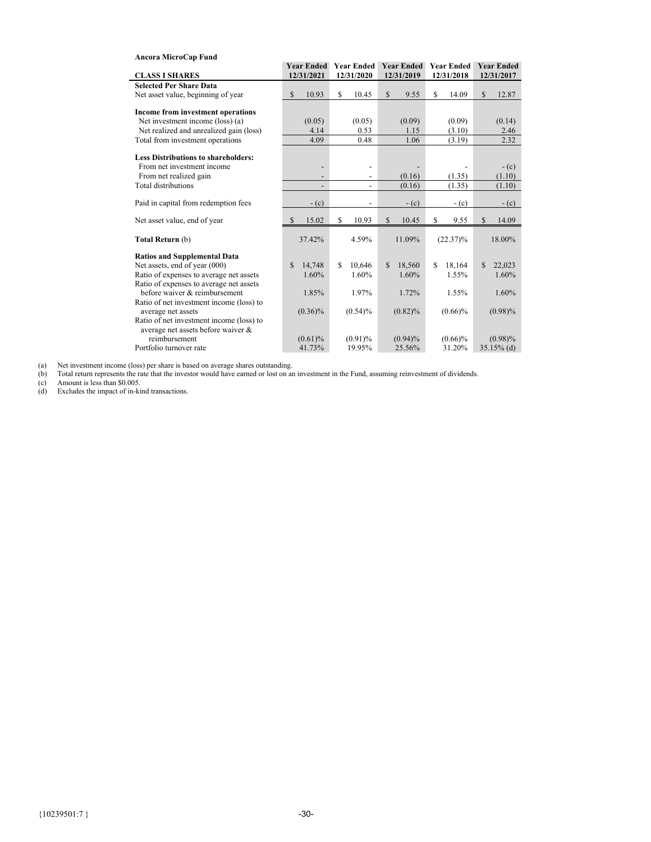| Ancora MicroCap Fund                       |                         |                          |                          |                       |                   |                         |
|--------------------------------------------|-------------------------|--------------------------|--------------------------|-----------------------|-------------------|-------------------------|
|                                            | <b>Year Ended</b>       |                          | <b>Year Ended</b>        | <b>Year Ended</b>     | <b>Year Ended</b> | <b>Year Ended</b>       |
| <b>CLASS I SHARES</b>                      | 12/31/2021              |                          | 12/31/2020               | 12/31/2019            | 12/31/2018        | 12/31/2017              |
| <b>Selected Per Share Data</b>             |                         |                          |                          |                       |                   |                         |
| Net asset value, beginning of year         | $\mathcal{S}$<br>10.93  | \$                       | 10.45                    | $\mathbb{S}$<br>9.55  | S<br>14.09        | $\mathbb{S}$<br>12.87   |
|                                            |                         |                          |                          |                       |                   |                         |
| Income from investment operations          |                         |                          |                          |                       |                   |                         |
| Net investment income (loss) (a)           | (0.05)                  |                          | (0.05)                   | (0.09)                | (0.09)            | (0.14)                  |
| Net realized and unrealized gain (loss)    | 4.14                    |                          | 0.53                     | 1.15                  | (3.10)            | 2.46                    |
| Total from investment operations           | 4.09                    |                          | 0.48                     | 1.06                  | (3.19)            | 2.32                    |
|                                            |                         |                          |                          |                       |                   |                         |
| <b>Less Distributions to shareholders:</b> |                         |                          |                          |                       |                   |                         |
| From net investment income                 |                         |                          | $\overline{\phantom{a}}$ |                       |                   | $-$ (c)                 |
| From net realized gain                     |                         |                          | $\overline{\phantom{a}}$ | (0.16)                | (1.35)            | (1.10)                  |
| Total distributions                        |                         | $\overline{\phantom{0}}$ | $\overline{\phantom{a}}$ | (0.16)                | (1.35)            | (1.10)                  |
|                                            |                         |                          |                          |                       |                   |                         |
| Paid in capital from redemption fees       | $-c$ (c)                |                          | $\overline{\phantom{a}}$ | $-c$ (c)              | $-c$ (c)          | $-(c)$                  |
| Net asset value, end of year               | 15.02<br>$\mathcal{S}$  | \$                       | 10.93                    | $\mathbb{S}$<br>10.45 | \$<br>9.55        | $\mathbb{S}$<br>14.09   |
| Total Return (b)                           | 37.42%                  |                          | 4.59%                    | 11.09%                | $(22.37)\%$       | 18.00%                  |
|                                            |                         |                          |                          |                       |                   |                         |
| <b>Ratios and Supplemental Data</b>        |                         |                          |                          |                       |                   |                         |
| Net assets, end of year (000)              | $\mathcal{S}$<br>14,748 | \$.                      | 10,646                   | 18,560<br>\$.         | \$.<br>18,164     | $\mathcal{S}$<br>22,023 |
| Ratio of expenses to average net assets    | 1.60%                   |                          | 1.60%                    | 1.60%                 | 1.55%             | 1.60%                   |
| Ratio of expenses to average net assets    |                         |                          |                          |                       |                   |                         |
| before waiver & reimbursement              | 1.85%                   |                          | 1.97%                    | 1.72%                 | 1.55%             | 1.60%                   |
| Ratio of net investment income (loss) to   |                         |                          |                          |                       |                   |                         |
| average net assets                         | $(0.36)\%$              |                          | $(0.54)\%$               | $(0.82)\%$            | $(0.66)\%$        | $(0.98)\%$              |
| Ratio of net investment income (loss) to   |                         |                          |                          |                       |                   |                         |
| average net assets before waiver &         |                         |                          |                          |                       |                   |                         |
| reimbursement                              | $(0.61)\%$              |                          | $(0.91)$ %               | $(0.94)\%$            | $(0.66)\%$        | $(0.98)\%$              |
| Portfolio turnover rate                    | 41.73%                  |                          | 19.95%                   | 25.56%                | 31.20%            | $35.15\%$ (d)           |

(a) Net investment income (loss) per share is based on average shares outstanding.

(b) Total return represents the rate that the investor would have earned or lost on an investment in the Fund, assuming reinvestment of dividends.

(c) Amount is less than \$0.005.

(d) Excludes the impact of in-kind transactions. (a)<br>(b)<br>(c)<br>(d)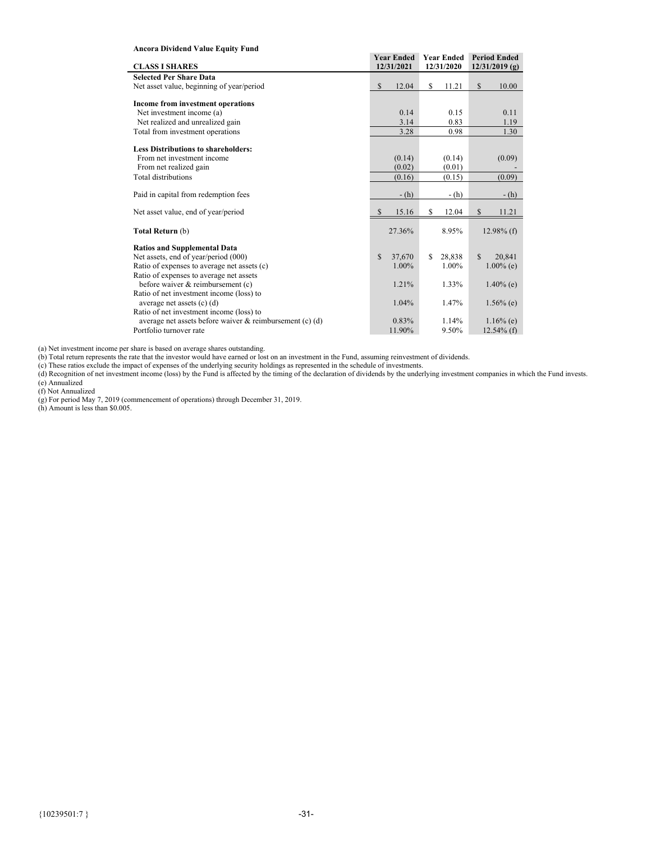### **Ancora Dividend Value Equity Fund**

Î.

|                                                             | <b>Year Ended</b>      | <b>Year Ended</b> | <b>Period Ended</b>    |
|-------------------------------------------------------------|------------------------|-------------------|------------------------|
| <b>CLASS I SHARES</b>                                       | 12/31/2021             | 12/31/2020        | $12/31/2019$ (g)       |
| <b>Selected Per Share Data</b>                              |                        |                   |                        |
| Net asset value, beginning of year/period                   | $\mathbb{S}$<br>12.04  | \$<br>11.21       | \$<br>10.00            |
|                                                             |                        |                   |                        |
| Income from investment operations                           |                        |                   |                        |
| Net investment income (a)                                   | 0.14                   | 0.15              | 0.11                   |
| Net realized and unrealized gain                            | 3.14                   | 0.83              | 1.19                   |
| Total from investment operations                            | 3.28                   | 0.98              | 1.30                   |
| <b>Less Distributions to shareholders:</b>                  |                        |                   |                        |
| From net investment income                                  | (0.14)                 | (0.14)            | (0.09)                 |
| From net realized gain                                      | (0.02)                 | (0.01)            |                        |
| <b>Total distributions</b>                                  | (0.16)                 | (0.15)            | (0.09)                 |
|                                                             |                        |                   |                        |
| Paid in capital from redemption fees                        | $-$ (h)                | $-h$ )            | $-h$ )                 |
| Net asset value, end of year/period                         | 15.16<br>S             | 12.04<br>\$       | \$<br>11.21            |
| Total Return (b)                                            | 27.36%                 | 8.95%             | $12.98\%$ (f)          |
| <b>Ratios and Supplemental Data</b>                         |                        |                   |                        |
| Net assets, end of year/period (000)                        | $\mathbb{S}$<br>37,670 | S<br>28,838       | $\mathbf{s}$<br>20,841 |
| Ratio of expenses to average net assets (c)                 | 1.00%                  | 1.00%             | $1.00\%$ (e)           |
| Ratio of expenses to average net assets                     |                        |                   |                        |
| before waiver & reimbursement (c)                           | 1.21%                  | 1.33%             | $1.40\%$ (e)           |
| Ratio of net investment income (loss) to                    |                        |                   |                        |
| average net assets $(c)$ $(d)$                              | 1.04%                  | 1.47%             | $1.56\%$ (e)           |
| Ratio of net investment income (loss) to                    |                        |                   |                        |
| average net assets before waiver $\&$ reimbursement (c) (d) | 0.83%                  | 1.14%             | $1.16\%$ (e)           |
| Portfolio turnover rate                                     | 11.90%                 | 9.50%             | $12.54\%$ (f)          |

(a) Net investment income per share is based on average shares outstanding.

(b) Total return represents the rate that the investor would have earned or lost on an investment in the Fund, assuming reinvestment of dividends.

(c) These ratios exclude the impact of expenses of the underlying security holdings as represented in the schedule of investments.

(d) Recognition of net investment income (loss) by the Fund is affected by the timing of the declaration of dividends by the underlying investment companies in which the Fund invests. (e) Annualized

(f) Not Annualized

(g) For period May 7, 2019 (commencement of operations) through December 31, 2019.

(h) Amount is less than \$0.005.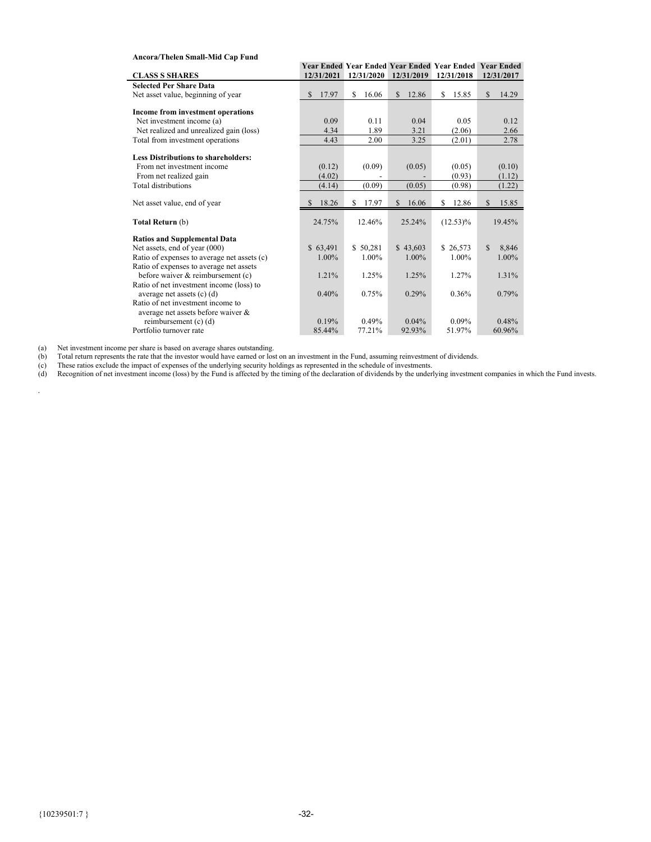| Ancora/Thelen Small-Mid Cap Fund            |                       |             |             |                                                               |             |
|---------------------------------------------|-----------------------|-------------|-------------|---------------------------------------------------------------|-------------|
|                                             |                       |             |             | <b>Year Ended Year Ended Year Ended Year Ended Year Ended</b> |             |
| <b>CLASS S SHARES</b>                       | 12/31/2021            | 12/31/2020  | 12/31/2019  | 12/31/2018                                                    | 12/31/2017  |
| <b>Selected Per Share Data</b>              |                       |             |             |                                                               |             |
| Net asset value, beginning of year          | $\mathbb{S}$<br>17.97 | \$<br>16.06 | 12.86<br>S. | \$<br>15.85                                                   | \$<br>14.29 |
|                                             |                       |             |             |                                                               |             |
| Income from investment operations           |                       |             |             |                                                               |             |
| Net investment income (a)                   | 0.09                  | 0.11        | 0.04        | 0.05                                                          | 0.12        |
| Net realized and unrealized gain (loss)     | 4.34                  | 1.89        | 3.21        | (2.06)                                                        | 2.66        |
| Total from investment operations            | 4.43                  | 2.00        | 3.25        | (2.01)                                                        | 2.78        |
|                                             |                       |             |             |                                                               |             |
| <b>Less Distributions to shareholders:</b>  |                       |             |             |                                                               |             |
| From net investment income                  | (0.12)                | (0.09)      | (0.05)      | (0.05)                                                        | (0.10)      |
| From net realized gain                      | (4.02)                |             |             | (0.93)                                                        | (1.12)      |
| <b>Total distributions</b>                  | (4.14)                | (0.09)      | (0.05)      | (0.98)                                                        | (1.22)      |
|                                             | 18.26                 | 17.97       | \$          | 12.86<br>\$                                                   | 15.85       |
| Net asset value, end of year                | S                     | \$          | 16.06       |                                                               | \$          |
| Total Return (b)                            | 24.75%                | 12.46%      | 25.24%      | $(12.53)\%$                                                   | 19.45%      |
| <b>Ratios and Supplemental Data</b>         |                       |             |             |                                                               |             |
| Net assets, end of year (000)               | \$63,491              | \$50.281    | \$43,603    | \$26,573                                                      | 8.846<br>S  |
| Ratio of expenses to average net assets (c) | 1.00%                 | 1.00%       | 1.00%       | 1.00%                                                         | 1.00%       |
| Ratio of expenses to average net assets     |                       |             |             |                                                               |             |
| before waiver & reimbursement (c)           | 1.21%                 | 1.25%       | 1.25%       | 1.27%                                                         | 1.31%       |
| Ratio of net investment income (loss) to    |                       |             |             |                                                               |             |
| average net assets $(c)$ $(d)$              | 0.40%                 | 0.75%       | 0.29%       | 0.36%                                                         | 0.79%       |
| Ratio of net investment income to           |                       |             |             |                                                               |             |
| average net assets before waiver &          |                       |             |             |                                                               |             |
| reimbursement (c) (d)                       | 0.19%                 | 0.49%       | $0.04\%$    | 0.09%                                                         | 0.48%       |
| Portfolio turnover rate                     | 85.44%                | 77.21%      | 92.93%      | 51.97%                                                        | 60.96%      |

(a) Net investment income per share is based on average shares outstanding.

(b) Total return represents the rate that the investor would have earned or lost on an investment in the Fund, assuming reinvestment of dividends.

(c) These ratios exclude the impact of expenses of the underlying security holdings as represented in the schedule of investments.

(d) Recognition of net investment income (loss) by the Fund is affected by the timing of the declaration of dividends by the underlying investment companies in which the Fund invests.

*.*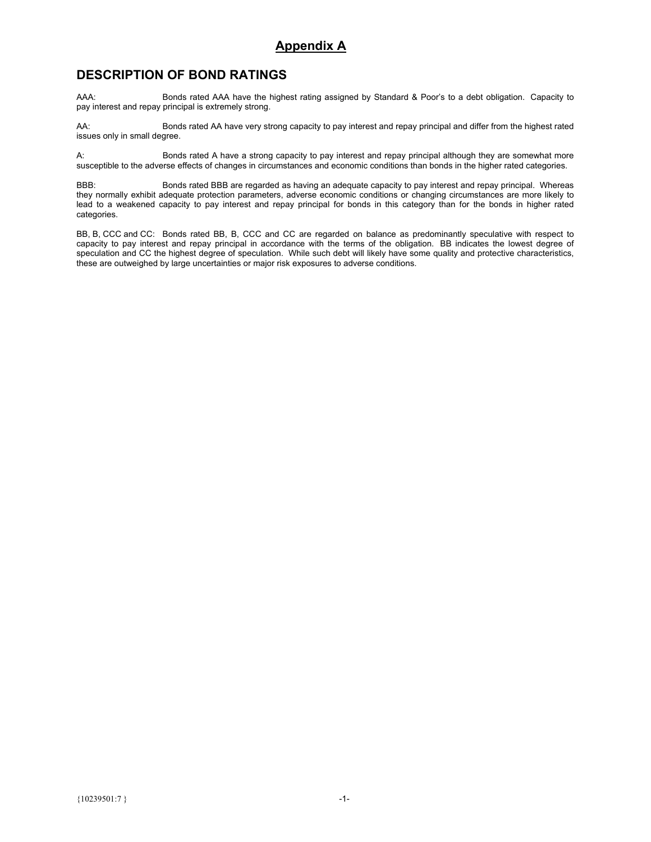# **Appendix A**

# **DESCRIPTION OF BOND RATINGS**

AAA: Bonds rated AAA have the highest rating assigned by Standard & Poor's to a debt obligation. Capacity to pay interest and repay principal is extremely strong.

AA: Bonds rated AA have very strong capacity to pay interest and repay principal and differ from the highest rated issues only in small degree.

A: Bonds rated A have a strong capacity to pay interest and repay principal although they are somewhat more susceptible to the adverse effects of changes in circumstances and economic conditions than bonds in the higher rated categories.

BBB: Bonds rated BBB are regarded as having an adequate capacity to pay interest and repay principal. Whereas they normally exhibit adequate protection parameters, adverse economic conditions or changing circumstances are more likely to lead to a weakened capacity to pay interest and repay principal for bonds in this category than for the bonds in higher rated categories.

BB, B, CCC and CC: Bonds rated BB, B, CCC and CC are regarded on balance as predominantly speculative with respect to capacity to pay interest and repay principal in accordance with the terms of the obligation. BB indicates the lowest degree of speculation and CC the highest degree of speculation. While such debt will likely have some quality and protective characteristics, these are outweighed by large uncertainties or major risk exposures to adverse conditions.